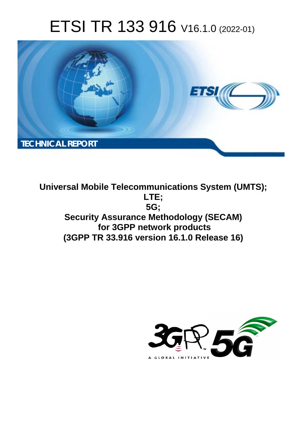# ETSI TR 133 916 V16.1.0 (2022-01)



**Universal Mobile Telecommunications System (UMTS); LTE; 5G; Security Assurance Methodology (SECAM) for 3GPP network products (3GPP TR 33.916 version 16.1.0 Release 16)** 

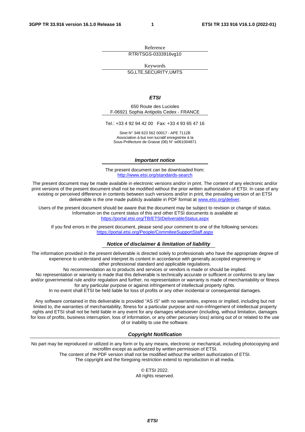Reference RTR/TSGS-0333916vg10

Keywords

5G,LTE,SECURITY,UMTS

*ETSI* 

650 Route des Lucioles F-06921 Sophia Antipolis Cedex - FRANCE

Tel.: +33 4 92 94 42 00 Fax: +33 4 93 65 47 16

Siret N° 348 623 562 00017 - APE 7112B Association à but non lucratif enregistrée à la Sous-Préfecture de Grasse (06) N° w061004871

#### *Important notice*

The present document can be downloaded from: <http://www.etsi.org/standards-search>

The present document may be made available in electronic versions and/or in print. The content of any electronic and/or print versions of the present document shall not be modified without the prior written authorization of ETSI. In case of any existing or perceived difference in contents between such versions and/or in print, the prevailing version of an ETSI deliverable is the one made publicly available in PDF format at [www.etsi.org/deliver](http://www.etsi.org/deliver).

Users of the present document should be aware that the document may be subject to revision or change of status. Information on the current status of this and other ETSI documents is available at <https://portal.etsi.org/TB/ETSIDeliverableStatus.aspx>

If you find errors in the present document, please send your comment to one of the following services: <https://portal.etsi.org/People/CommiteeSupportStaff.aspx>

#### *Notice of disclaimer & limitation of liability*

The information provided in the present deliverable is directed solely to professionals who have the appropriate degree of experience to understand and interpret its content in accordance with generally accepted engineering or other professional standard and applicable regulations.

No recommendation as to products and services or vendors is made or should be implied.

No representation or warranty is made that this deliverable is technically accurate or sufficient or conforms to any law and/or governmental rule and/or regulation and further, no representation or warranty is made of merchantability or fitness for any particular purpose or against infringement of intellectual property rights.

In no event shall ETSI be held liable for loss of profits or any other incidental or consequential damages.

Any software contained in this deliverable is provided "AS IS" with no warranties, express or implied, including but not limited to, the warranties of merchantability, fitness for a particular purpose and non-infringement of intellectual property rights and ETSI shall not be held liable in any event for any damages whatsoever (including, without limitation, damages for loss of profits, business interruption, loss of information, or any other pecuniary loss) arising out of or related to the use of or inability to use the software.

#### *Copyright Notification*

No part may be reproduced or utilized in any form or by any means, electronic or mechanical, including photocopying and microfilm except as authorized by written permission of ETSI. The content of the PDF version shall not be modified without the written authorization of ETSI.

The copyright and the foregoing restriction extend to reproduction in all media.

© ETSI 2022. All rights reserved.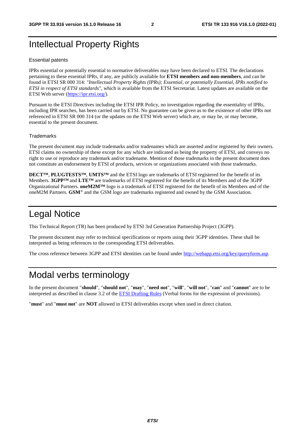# Intellectual Property Rights

#### Essential patents

IPRs essential or potentially essential to normative deliverables may have been declared to ETSI. The declarations pertaining to these essential IPRs, if any, are publicly available for **ETSI members and non-members**, and can be found in ETSI SR 000 314: *"Intellectual Property Rights (IPRs); Essential, or potentially Essential, IPRs notified to ETSI in respect of ETSI standards"*, which is available from the ETSI Secretariat. Latest updates are available on the ETSI Web server ([https://ipr.etsi.org/\)](https://ipr.etsi.org/).

Pursuant to the ETSI Directives including the ETSI IPR Policy, no investigation regarding the essentiality of IPRs, including IPR searches, has been carried out by ETSI. No guarantee can be given as to the existence of other IPRs not referenced in ETSI SR 000 314 (or the updates on the ETSI Web server) which are, or may be, or may become, essential to the present document.

#### **Trademarks**

The present document may include trademarks and/or tradenames which are asserted and/or registered by their owners. ETSI claims no ownership of these except for any which are indicated as being the property of ETSI, and conveys no right to use or reproduce any trademark and/or tradename. Mention of those trademarks in the present document does not constitute an endorsement by ETSI of products, services or organizations associated with those trademarks.

**DECT™**, **PLUGTESTS™**, **UMTS™** and the ETSI logo are trademarks of ETSI registered for the benefit of its Members. **3GPP™** and **LTE™** are trademarks of ETSI registered for the benefit of its Members and of the 3GPP Organizational Partners. **oneM2M™** logo is a trademark of ETSI registered for the benefit of its Members and of the oneM2M Partners. **GSM**® and the GSM logo are trademarks registered and owned by the GSM Association.

### Legal Notice

This Technical Report (TR) has been produced by ETSI 3rd Generation Partnership Project (3GPP).

The present document may refer to technical specifications or reports using their 3GPP identities. These shall be interpreted as being references to the corresponding ETSI deliverables.

The cross reference between 3GPP and ETSI identities can be found under<http://webapp.etsi.org/key/queryform.asp>.

### Modal verbs terminology

In the present document "**should**", "**should not**", "**may**", "**need not**", "**will**", "**will not**", "**can**" and "**cannot**" are to be interpreted as described in clause 3.2 of the [ETSI Drafting Rules](https://portal.etsi.org/Services/editHelp!/Howtostart/ETSIDraftingRules.aspx) (Verbal forms for the expression of provisions).

"**must**" and "**must not**" are **NOT** allowed in ETSI deliverables except when used in direct citation.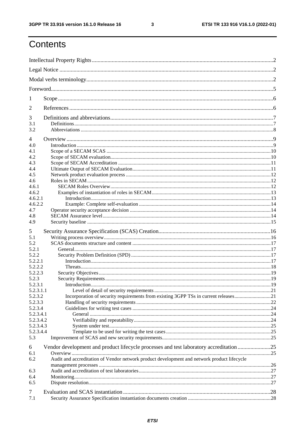$\mathbf{3}$ 

# Contents

| 1              |                                                                                             |  |  |  |  |
|----------------|---------------------------------------------------------------------------------------------|--|--|--|--|
| 2              |                                                                                             |  |  |  |  |
| 3              |                                                                                             |  |  |  |  |
| 3.1<br>3.2     |                                                                                             |  |  |  |  |
| $\overline{4}$ |                                                                                             |  |  |  |  |
| 4.0            |                                                                                             |  |  |  |  |
| 4.1            |                                                                                             |  |  |  |  |
| 4.2            |                                                                                             |  |  |  |  |
| 4.3            |                                                                                             |  |  |  |  |
| 4.4            |                                                                                             |  |  |  |  |
| 4.5            |                                                                                             |  |  |  |  |
| 4.6            |                                                                                             |  |  |  |  |
| 4.6.1          |                                                                                             |  |  |  |  |
| 4.6.2          |                                                                                             |  |  |  |  |
| 4.6.2.1        |                                                                                             |  |  |  |  |
| 4.6.2.2        |                                                                                             |  |  |  |  |
| 4.7            |                                                                                             |  |  |  |  |
|                |                                                                                             |  |  |  |  |
| 4.8            |                                                                                             |  |  |  |  |
| 4.9            |                                                                                             |  |  |  |  |
| 5              |                                                                                             |  |  |  |  |
| 5.1            |                                                                                             |  |  |  |  |
| 5.2            |                                                                                             |  |  |  |  |
| 5.2.1          |                                                                                             |  |  |  |  |
| 5.2.2          |                                                                                             |  |  |  |  |
| 5.2.2.1        |                                                                                             |  |  |  |  |
| 5.2.2.2        |                                                                                             |  |  |  |  |
|                |                                                                                             |  |  |  |  |
| 5.2.2.3        |                                                                                             |  |  |  |  |
| 5.2.3          |                                                                                             |  |  |  |  |
| 5.2.3.1        |                                                                                             |  |  |  |  |
| 5.2.3.1.1      |                                                                                             |  |  |  |  |
| 5.2.3.2        | Incorporation of security requirements from existing 3GPP TSs in current releases21         |  |  |  |  |
| 5.2.3.3        |                                                                                             |  |  |  |  |
| 5.2.3.4        |                                                                                             |  |  |  |  |
| 5.2.3.4.1      |                                                                                             |  |  |  |  |
| 5.2.3.4.2      |                                                                                             |  |  |  |  |
| 5.2.3.4.3      |                                                                                             |  |  |  |  |
| 5.2.3.4.4      |                                                                                             |  |  |  |  |
| 5.3            |                                                                                             |  |  |  |  |
|                |                                                                                             |  |  |  |  |
| 6              | Vendor development and product lifecycle processes and test laboratory accreditation 25     |  |  |  |  |
| 6.1            |                                                                                             |  |  |  |  |
| 6.2            | Audit and accreditation of Vendor network product development and network product lifecycle |  |  |  |  |
|                |                                                                                             |  |  |  |  |
| 6.3            |                                                                                             |  |  |  |  |
| 6.4            |                                                                                             |  |  |  |  |
| 6.5            |                                                                                             |  |  |  |  |
|                |                                                                                             |  |  |  |  |
| 7              |                                                                                             |  |  |  |  |
| 7.1            |                                                                                             |  |  |  |  |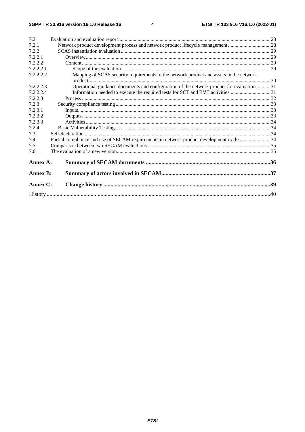$\overline{\mathbf{4}}$ 

| 7.2             |                                                                                          |  |  |  |  |  |
|-----------------|------------------------------------------------------------------------------------------|--|--|--|--|--|
| 7.2.1           | Network product development process and network product lifecycle management 28          |  |  |  |  |  |
| 7.2.2           |                                                                                          |  |  |  |  |  |
| 7.2.2.1         |                                                                                          |  |  |  |  |  |
| 7.2.2.2         |                                                                                          |  |  |  |  |  |
| 7.2.2.2.1       |                                                                                          |  |  |  |  |  |
| 7.2.2.2.2       | Mapping of SCAS security requirements to the network product and assets in the network   |  |  |  |  |  |
|                 |                                                                                          |  |  |  |  |  |
| 7.2.2.2.3       | Operational guidance documents and configuration of the network product for evaluation31 |  |  |  |  |  |
| 7.2.2.2.4       | Information needed to execute the required tests for SCT and BVT activities31            |  |  |  |  |  |
| 7.2.2.3         |                                                                                          |  |  |  |  |  |
| 7.2.3           |                                                                                          |  |  |  |  |  |
| 7.2.3.1         |                                                                                          |  |  |  |  |  |
| 7.2.3.2         |                                                                                          |  |  |  |  |  |
| 7.2.3.3         |                                                                                          |  |  |  |  |  |
| 7.2.4           |                                                                                          |  |  |  |  |  |
| 7.3             |                                                                                          |  |  |  |  |  |
| 7.4             | Partial compliance and use of SECAM requirements in network product development cycle 34 |  |  |  |  |  |
| 7.5             |                                                                                          |  |  |  |  |  |
| 7.6             |                                                                                          |  |  |  |  |  |
| Annex A:        |                                                                                          |  |  |  |  |  |
| <b>Annex B:</b> |                                                                                          |  |  |  |  |  |
| Annex C:        |                                                                                          |  |  |  |  |  |
|                 |                                                                                          |  |  |  |  |  |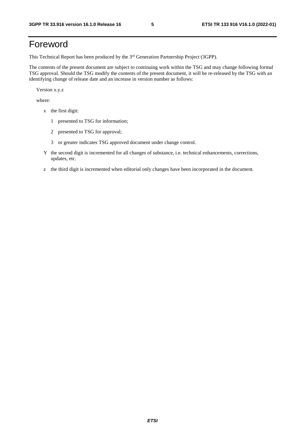# Foreword

This Technical Report has been produced by the 3<sup>rd</sup> Generation Partnership Project (3GPP).

The contents of the present document are subject to continuing work within the TSG and may change following formal TSG approval. Should the TSG modify the contents of the present document, it will be re-released by the TSG with an identifying change of release date and an increase in version number as follows:

Version x.y.z

where:

- x the first digit:
	- 1 presented to TSG for information;
	- 2 presented to TSG for approval;
	- 3 or greater indicates TSG approved document under change control.
- Y the second digit is incremented for all changes of substance, i.e. technical enhancements, corrections, updates, etc.
- z the third digit is incremented when editorial only changes have been incorporated in the document.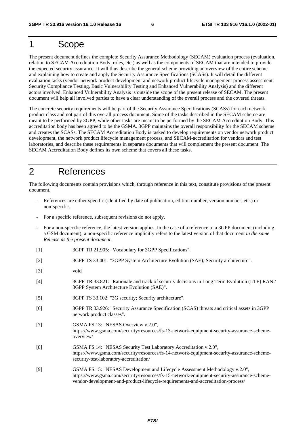### 1 Scope

The present document defines the complete Security Assurance Methodology (SECAM) evaluation process (evaluation, relation to SECAM Accreditation Body, roles, etc.) as well as the components of SECAM that are intended to provide the expected security assurance. It will thus describe the general scheme providing an overview of the entire scheme and explaining how to create and apply the Security Assurance Specifications (SCASs). It will detail the different evaluation tasks (vendor network product development and network product lifecycle management process assessment, Security Compliance Testing, Basic Vulnerability Testing and Enhanced Vulnerability Analysis) and the different actors involved. Enhanced Vulnerability Analysis is outside the scope of the present release of SECAM. The present document will help all involved parties to have a clear understanding of the overall process and the covered threats.

The concrete security requirements will be part of the Security Assurance Specifications (SCASs) for each network product class and not part of this overall process document. Some of the tasks described in the SECAM scheme are meant to be performed by 3GPP, while other tasks are meant to be performed by the SECAM Accreditation Body. This accreditation body has been agreed to be the GSMA. 3GPP maintains the overall responsibility for the SECAM scheme and creates the SCASs. The SECAM Accreditation Body is tasked to develop requirements on vendor network product development, the network product lifecycle management process, and SECAM-accreditation for vendors and test laboratories, and describe these requirements in separate documents that will complement the present document. The SECAM Accreditation Body defines its own scheme that covers all these tasks.

### 2 References

The following documents contain provisions which, through reference in this text, constitute provisions of the present document.

- References are either specific (identified by date of publication, edition number, version number, etc.) or non-specific.
- For a specific reference, subsequent revisions do not apply.
- For a non-specific reference, the latest version applies. In the case of a reference to a 3GPP document (including a GSM document), a non-specific reference implicitly refers to the latest version of that document *in the same Release as the present document*.
- [1] 3GPP TR 21.905: "Vocabulary for 3GPP Specifications".
- [2] 3GPP TS 33.401: "3GPP System Architecture Evolution (SAE); Security architecture".
- [3] void
- [4] 3GPP TR 33.821: "Rationale and track of security decisions in Long Term Evolution (LTE) RAN / 3GPP System Architecture Evolution (SAE)".
- [5] 3GPP TS 33.102: "3G security; Security architecture".
- [6] 3GPP TR 33.926: "Security Assurance Specification (SCAS) threats and critical assets in 3GPP network product classes".
- [7] GSMA FS.13: "NESAS Overview v.2.0", https://www.gsma.com/security/resources/fs-13-network-equipment-security-assurance-schemeoverview/
- [8] GSMA FS.14: "NESAS Security Test Laboratory Accreditation v.2.0", https://www.gsma.com/security/resources/fs-14-network-equipment-security-assurance-schemesecurity-test-laboratory-accreditation/
- [9] GSMA FS.15: "NESAS Development and Lifecycle Assessment Methodology v.2.0", https://www.gsma.com/security/resources/fs-15-network-equipment-security-assurance-schemevendor-development-and-product-lifecycle-requirements-and-accreditation-process/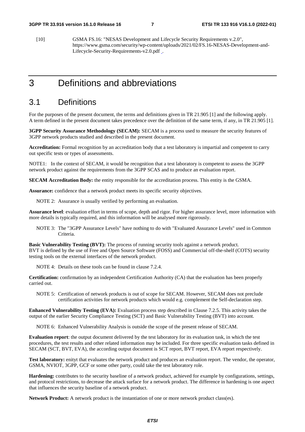[10] GSMA FS.16: "NESAS Development and Lifecycle Security Requirements v.2.0", https://www.gsma.com/security/wp-content/uploads/2021/02/FS.16-NESAS-Development-and-Lifecycle-Security-Requirements-v2.0.pdf .

### 3 Definitions and abbreviations

### 3.1 Definitions

For the purposes of the present document, the terms and definitions given in TR 21.905 [1] and the following apply. A term defined in the present document takes precedence over the definition of the same term, if any, in TR 21.905 [1].

**3GPP Security Assurance Methodology (SECAM):** SECAM is a process used to measure the security features of 3GPP network products studied and described in the present document.

**Accreditation:** Formal recognition by an accreditation body that a test laboratory is impartial and competent to carry out specific tests or types of assessments.

NOTE1: In the context of SECAM, it would be recognition that a test laboratory is competent to assess the 3GPP network product against the requirements from the 3GPP SCAS and to produce an evaluation report.

**SECAM Accreditation Body:** the entity responsible for the accreditation process. This entity is the GSMA.

**Assurance:** confidence that a network product meets its specific security objectives.

NOTE 2: Assurance is usually verified by performing an evaluation.

**Assurance level**: evaluation effort in terms of scope, depth and rigor. For higher assurance level, more information with more details is typically required, and this information will be analysed more rigorously.

NOTE 3: The "3GPP Assurance Levels" have nothing to do with "Evaluated Assurance Levels" used in Common Criteria.

**Basic Vulnerability Testing (BVT):** The process of running security tools against a network product. BVT is defined by the use of Free and Open Source Software (FOSS) and Commercial off-the-shelf (COTS) security testing tools on the external interfaces of the network product.

NOTE 4: Details on these tools can be found in clause 7.2.4.

**Certification:** confirmation by an independent Certification Authority (CA) that the evaluation has been properly carried out.

NOTE 5: Certification of network products is out of scope for SECAM. However, SECAM does not preclude certification activities for network products which would e.g. complement the Self-declaration step.

**Enhanced Vulnerability Testing (EVA):** Evaluation process step described in Clause 7.2.5. This activity takes the output of the earlier Security Compliance Testing (SCT) and Basic Vulnerability Testing (BVT) into account.

NOTE 6: Enhanced Vulnerability Analysis is outside the scope of the present release of SECAM.

**Evaluation report**: the output document delivered by the test laboratory for its evaluation task, in which the test procedures, the test results and other related information may be included. For three specific evaluation tasks defined in SECAM (SCT, BVT, EVA), the according output document is SCT report, BVT report, EVA report respectively.

**Test laboratory:** enityt that evaluates the network product and produces an evaluation report. The vendor, the operator, GSMA, NVIOT, 3GPP, GCF or some other party, could take the test laboratory role.

**Hardening:** contributes to the security baseline of a network product, achieved for example by configurations, settings, and protocol restrictions, to decrease the attack surface for a network product. The difference in hardening is one aspect that influences the security baseline of a network product.

**Network Product:** A network product is the instantiation of one or more network product class(es).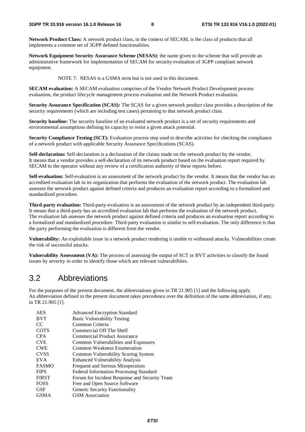**Network Product Class:** A network product class, in the context of SECAM, is the class of products that all implements a common set of 3GPP defined functionalities.

**Network Equipment Security Assurance Scheme (NESAS):** the name given to the scheme that will provide an administrative framework for implementation of SECAM for security evaluation of 3GPP compliant network equipment.

NOTE 7: NESAS is a GSMA term but is not used in this document.

**SECAM evaluation:** A SECAM evaluation comprises of the Vendor Network Product Development process evaluation, the product lifecycle management process evaluation and the Network Product evaluation.

**Security Assurance Specification (SCAS):** The SCAS for a given network product class provides a description of the security requirements (which are including test cases) pertaining to that network product class.

**Security baseline:** The security baseline of an evaluated network product is a set of security requirements and environmental assumptions defining its capacity to resist a given attack potential.

**Security Compliance Testing (SCT):** Evaluation process step used to describe activities for checking the compliance of a network product with applicable Security Assurance Specifications (SCAS).

**Self-declaration:** Self-declaration is a declaration of the claims made on the network product by the vendor. It means that a vendor provides a self-declaration of its network product based on the evaluation report required by SECAM to the operator without any review of a certification authority of these reports before.

**Self-evaluation:** Self-evaluation is an assessment of the network product by the vendor. It means that the vendor has an accredited evaluation lab in its organization that performs the evaluation of the network product. The evaluation lab assesses the network product against defined criteria and produces an evaluation report according to a formalized and standardized procedure.

**Third-party evaluation:** Third-party-evaluation is an assessment of the network product by an independent third-party. It means that a third-party has an accredited evaluation lab that performs the evaluation of the network product. The evaluation lab assesses the network product against defined criteria and produces an evaluation report according to a formalized and standardized procedure. Third-party evaluation is similar to self-evaluation. The only difference is that the party performing the evaluation is different from the vendor.

**Vulnerability:** An exploitable issue in a network product rendering it unable to withstand attacks. Vulnerabilities create the risk of successful attacks.

**Vulnerability Assessment (VA):** The process of assessing the output of SCT or BVT activities to classify the found issues by severity in order to identify those which are relevant vulnerabilities.

### 3.2 Abbreviations

For the purposes of the present document, the abbreviations given in TR 21.905 [1] and the following apply. An abbreviation defined in the present document takes precedence over the definition of the same abbreviation, if any, in TR 21.905 [1].

| <b>AES</b>   | <b>Advanced Encryption Standard</b>            |
|--------------|------------------------------------------------|
| <b>BVT</b>   | <b>Basic Vulnerability Testing</b>             |
| CC.          | Common Criteria                                |
| <b>COTS</b>  | Commercial Off The Shelf                       |
| <b>CPA</b>   | Commercial Product Assurance                   |
| <b>CVE</b>   | Common Vulnerabilities and Exposures           |
| <b>CWE</b>   | Common Weakness Enumeration                    |
| <b>CVSS</b>  | Common Vulnerability Scoring System            |
| <b>EVA</b>   | <b>Enhanced Vulnerability Analysis</b>         |
| <b>FASMO</b> | Frequent and Serious Misoperation              |
| <b>FIPS</b>  | <b>Federal Information Processing Standard</b> |
| <b>FIRST</b> | Forum for Incident Response and Security Team  |
| <b>FOSS</b>  | Free and Open Source Software                  |
| <b>GSF</b>   | Generic Security Functionality                 |
| <b>GSMA</b>  | <b>GSM</b> Association                         |
|              |                                                |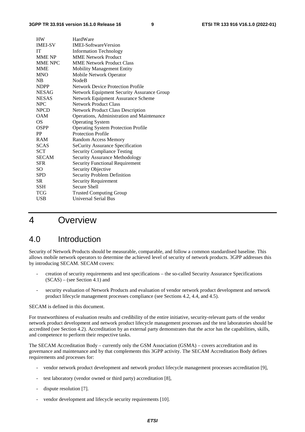| <b>HW</b>      | HardWare                                          |
|----------------|---------------------------------------------------|
| <b>IMEI-SV</b> | <b>IMEI-SoftwareVersion</b>                       |
| <b>IT</b>      | <b>Information Technology</b>                     |
| <b>MME NP</b>  | <b>MME Network Product</b>                        |
| <b>MME NPC</b> | <b>MME Network Product Class</b>                  |
| <b>MME</b>     | <b>Mobility Management Entity</b>                 |
| <b>MNO</b>     | Mobile Network Operator                           |
| NB             | <b>NodeB</b>                                      |
| <b>NDPP</b>    | <b>Network Device Protection Profile</b>          |
| NESAG-         | <b>Network Equipment Security Assurance Group</b> |
| <b>NESAS</b>   | Network Equipment Assurance Scheme                |
| <b>NPC</b>     | <b>Network Product Class</b>                      |
| <b>NPCD</b>    | <b>Network Product Class Description</b>          |
| <b>OAM</b>     | Operations, Administration and Maintenance        |
| <b>OS</b>      | <b>Operating System</b>                           |
| OSPP           | <b>Operating System Protection Profile</b>        |
| PP             | <b>Protection Profile</b>                         |
| <b>RAM</b>     | <b>Random Access Memory</b>                       |
| <b>SCAS</b>    | <b>SeCurity Assurance Specification</b>           |
| <b>SCT</b>     | <b>Security Compliance Testing</b>                |
| <b>SECAM</b>   | <b>Security Assurance Methodology</b>             |
| <b>SFR</b>     | <b>Security Functional Requirement</b>            |
| SO             | Security Objective                                |
| <b>SPD</b>     | <b>Security Problem Definition</b>                |
| <b>SR</b>      | <b>Security Requirement</b>                       |
| SSH            | Secure Shell                                      |
| <b>TCG</b>     | <b>Trusted Computing Group</b>                    |
| <b>USB</b>     | <b>Universal Serial Bus</b>                       |

### 4 Overview

### 4.0 Introduction

Security of Network Products should be measurable, comparable, and follow a common standardised baseline. This allows mobile network operators to determine the achieved level of security of network products. 3GPP addresses this by introducing SECAM. SECAM covers:

- creation of security requirements and test specifications the so-called Security Assurance Specifications  $(SCAS)$  – (see Section 4.1) and
- security evaluation of Network Products and evaluation of vendor network product development and network product lifecycle management processes compliance (see Sections 4.2, 4.4, and 4.5).

#### SECAM is defined in this document.

For trustworthiness of evaluation results and credibility of the entire initiative, security-relevant parts of the vendor network product development and network product lifecycle management processes and the test laboratories should be accredited (see Section 4.2). Accreditation by an external party demonstrates that the actor has the capabilities, skills, and competence to perform their respective tasks.

The SECAM Accreditation Body – currently only the GSM Association (GSMA) – covers accreditation and its governance and maintenance and by that complements this 3GPP activity. The SECAM Accreditation Body defines requirements and processes for:

- vendor network product development and network product lifecycle management processes accreditation [9],
- test laboratory (vendor owned or third party) accreditation [8],
- dispute resolution [7].
- vendor development and lifecycle security requirements [10].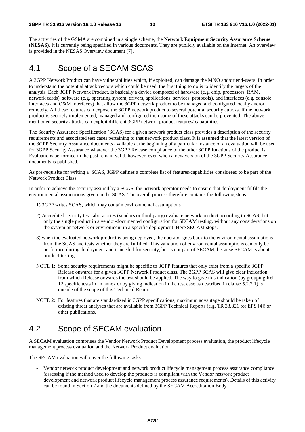The activities of the GSMA are combined in a single scheme, the **Network Equipment Security Assurance Scheme** (**NESAS**). It is currently being specified in various documents. They are publicly available on the Internet. An overview is provided in the NESAS Overview document [7].

### 4.1 Scope of a SECAM SCAS

A 3GPP Network Product can have vulnerabilities which, if exploited, can damage the MNO and/or end-users. In order to understand the potential attack vectors which could be used, the first thing to do is to identify the targets of the analysis. Each 3GPP Network Product, is basically a device composed of hardware (e.g. chip, processors, RAM, network cards), software (e.g. operating system, drivers, applications, services, protocols), and interfaces (e.g. console interfaces and O&M interfaces) that allow the 3GPP network product to be managed and configured locally and/or remotely. All these features can expose the 3GPP network product to several potential security attacks. If the network product is securely implemented, managed and configured then some of these attacks can be prevented. The above mentioned security attacks can exploit different 3GPP network product features/ capabilities.

The Security Assurance Specification (SCAS) for a given network product class provides a description of the security requirements and associated test cases pertaining to that network product class. It is assumed that the latest version of the 3GPP Security Assurance documents available at the beginning of a particular instance of an evaluation will be used for 3GPP Security Assurance whatever the 3GPP Release compliance of the other 3GPP functions of the product is. Evaluations performed in the past remain valid, however, even when a new version of the 3GPP Security Assurance documents is published.

As pre-requisite for writing a SCAS, 3GPP defines a complete list of features/capabilities considered to be part of the Network Product Class.

In order to achieve the security assured by a SCAS, the network operator needs to ensure that deployment fulfils the environmental assumptions given in the SCAS. The overall process therefore contains the following steps:

- 1) 3GPP writes SCAS, which may contain environmental assumptions
- 2) Accredited security test laboratories (vendors or third party) evaluate network product according to SCAS, but only the single product in a vendor-documented configuration for SECAM testing, without any considerations on the system or network or environment in a specific deployment. Here SECAM stops.
- 3) when the evaluated network product is being deployed, the operator goes back to the environmental assumptions from the SCAS and tests whether they are fulfilled. This validation of environmental assumptions can only be performed during deployment and is needed for security, but is not part of SECAM, because SECAM is about product-testing.
- NOTE 1: Some security requirements might be specific to 3GPP features that only exist from a specific 3GPP Release onwards for a given 3GPP Network Product class. The 3GPP SCAS will give clear indication from which Release onwards the test should be applied. The way to give this indication (by grouping Rel-12 specific tests in an annex or by giving indication in the test case as described in clause 5.2.2.1) is outside of the scope of this Technical Report.
- NOTE 2: For features that are standardized in 3GPP specifications, maximum advantage should be taken of existing threat analyses that are available from 3GPP Technical Reports (e.g. TR 33.821 for EPS [4]) or other publications.

### 4.2 Scope of SECAM evaluation

A SECAM evaluation comprises the Vendor Network Product Development process evaluation, the product lifecycle management process evaluation and the Network Product evaluation

The SECAM evaluation will cover the following tasks:

- Vendor network product development and network product lifecycle management process assurance compliance (assessing if the method used to develop the products is compliant with the Vendor network product development and network product lifecycle management process assurance requirements). Details of this activity can be found in Section 7 and the documents defined by the SECAM Accreditation Body.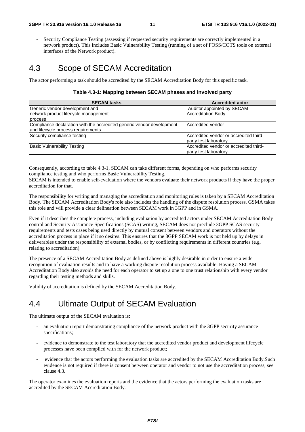Security Compliance Testing (assessing if requested security requirements are correctly implemented in a network product). This includes Basic Vulnerability Testing (running of a set of FOSS/COTS tools on external interfaces of the Network product).

### 4.3 Scope of SECAM Accreditation

The actor performing a task should be accredited by the SECAM Accreditation Body for this specific task.

#### **Table 4.3-1: Mapping between SECAM phases and involved party**

| <b>SECAM tasks</b>                                                    | <b>Accredited actor</b>                |
|-----------------------------------------------------------------------|----------------------------------------|
| Generic vendor development and                                        | Auditor appointed by SECAM             |
| network product lifecycle management                                  | <b>Accreditation Body</b>              |
| process                                                               |                                        |
| Compliance declaration with the accredited generic vendor development | Accredited vendor                      |
| and lifecycle process requirements                                    |                                        |
| Security compliance testing                                           | Accredited vendor or accredited third- |
|                                                                       | party test laboratory                  |
| <b>Basic Vulnerability Testing</b>                                    | Accredited vendor or accredited third- |
|                                                                       | party test laboratory                  |

Consequently, according to table 4.3-1, SECAM can take different forms, depending on who performs security compliance testing and who performs Basic Vulnerability Testing.

SECAM is intended to enable self-evaluation where the vendors evaluate their network products if they have the proper accreditation for that.

The responsibility for writing and managing the accreditation and monitoring rules is taken by a SECAM Accreditation Body. The SECAM Accreditation Body's role also includes the handling of the dispute resolution process. GSMA takes this role and will provide a clear delineation between SECAM work in 3GPP and in GSMA.

Even if it describes the complete process, including evaluation by accredited actors under SECAM Accreditation Body control and Security Assurance Specifications (SCAS) writing, SECAM does not preclude 3GPP SCAS security requirements and tests cases being used directly by mutual consent between vendors and operators without the accreditation process in place if it so desires. This ensures that the 3GPP SECAM work is not held up by delays in deliverables under the responsibility of external bodies, or by conflicting requirements in different countries (e.g. relating to accreditation).

The presence of a SECAM Accreditation Body as defined above is highly desirable in order to ensure a wide recognition of evaluation results and to have a working dispute resolution process available. Having a SECAM Accreditation Body also avoids the need for each operator to set up a one to one trust relationship with every vendor regarding their testing methods and skills.

Validity of accreditation is defined by the SECAM Accreditation Body.

### 4.4 Ultimate Output of SECAM Evaluation

The ultimate output of the SECAM evaluation is:

- an evaluation report demonstrating compliance of the network product with the 3GPP security assurance specifications;
- evidence to demonstrate to the test laboratory that the accredited vendor product and development lifecycle processes have been complied with for the network product;
- evidence that the actors performing the evaluation tasks are accredited by the SECAM Accreditation Body.Such evidence is not required if there is consent between operator and vendor to not use the accreditation process, see clause 4.3.

The operator examines the evaluation reports and the evidence that the actors performing the evaluation tasks are accredited by the SECAM Accreditation Body.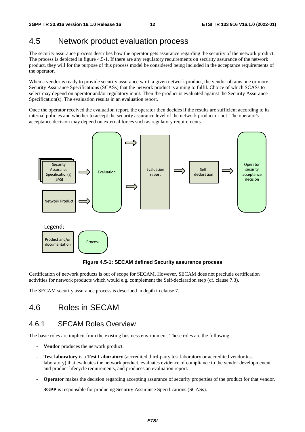### 4.5 Network product evaluation process

The security assurance process describes how the operator gets assurance regarding the security of the network product. The process is depicted in figure 4.5-1. If there are any regulatory requirements on security assurance of the network product, they will for the purpose of this process model be considered being included in the acceptance requirements of the operator.

When a vendor is ready to provide security assurance w.r.t. a given network product, the vendor obtains one or more Security Assurance Specifications (SCASs) that the network product is aiming to fulfil. Choice of which SCASs to select may depend on operator and/or regulatory input. Then the product is evaluated against the Security Assurance Specification(s). The evaluation results in an evaluation report.

Once the operator received the evaluation report, the operator then decides if the results are sufficient according to its internal policies and whether to accept the security assurance level of the network product or not. The operator's acceptance decision may depend on external forces such as regulatory requirements.



**Figure 4.5-1: SECAM defined Security assurance process** 

Certification of network products is out of scope for SECAM. However, SECAM does not preclude certification activities for network products which would e.g. complement the Self-declaration step (cf. clause 7.3).

The SECAM security assurance process is described in depth in clause 7.

# 4.6 Roles in SECAM

### 4.6.1 SECAM Roles Overview

The basic roles are implicit from the existing business environment. These roles are the following:

- **Vendor** produces the network product.
- **Test laboratory** is a **Test Laboratory** (accredited third-party test laboratory or accredited vendor test laboratory) that evaluates the network product, evaluates evidence of compliance to the vendor developmenent and product lifecycle requirements, and produces an evaluation report.
- **Operator** makes the decision regarding accepting assurance of security properties of the product for that vendor.
- **3GPP** is responsible for producing Security Assurance Specifications (SCASs).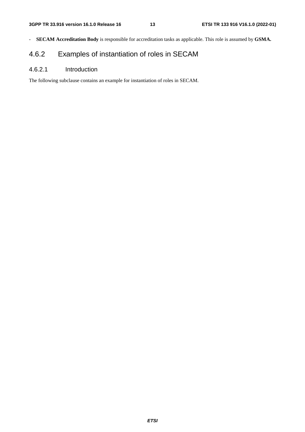- **SECAM Accreditation Body** is responsible for accreditation tasks as applicable. This role is assumed by **GSMA.**

### 4.6.2 Examples of instantiation of roles in SECAM

### 4.6.2.1 Introduction

The following subclause contains an example for instantiation of roles in SECAM.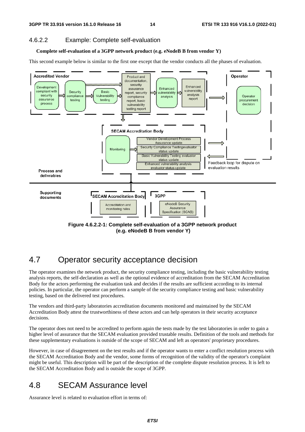### 4.6.2.2 Example: Complete self-evaluation

#### **Complete self-evaluation of a 3GPP network product (e.g. eNodeB B from vendor Y)**

This second example below is similar to the first one except that the vendor conducts all the phases of evaluation.



 **(e.g. eNodeB B from vendor Y)** 

### 4.7 Operator security acceptance decision

The operator examines the network product, the security compliance testing, including the basic vulnerability testing analysis reports, the self-declaration as well as the optional evidence of accreditation from the SECAM Accreditation Body for the actors performing the evaluation task and decides if the results are sufficient according to its internal policies. In particular, the operator can perform a sample of the security compliance testing and basic vulnerability testing, based on the delivered test procedures.

The vendors and third-party laboratories accreditation documents monitored and maintained by the SECAM Accreditation Body attest the trustworthiness of these actors and can help operators in their security acceptance decisions.

The operator does not need to be accredited to perform again the tests made by the test laboratories in order to gain a higher level of assurance that the SECAM evaluation provided trustable results. Definition of the tools and methods for these supplementary evaluations is outside of the scope of SECAM and left as operators' proprietary procedures.

However, in case of disagreement on the test results and if the operator wants to enter a conflict resolution process with the SECAM Accreditation Body and the vendor, some forms of recognition of the validity of the operator's complaint might be useful. This description will be part of the description of the complete dispute resolution process. It is left to the SECAM Accreditation Body and is outside the scope of 3GPP.

## 4.8 SECAM Assurance level

Assurance level is related to evaluation effort in terms of: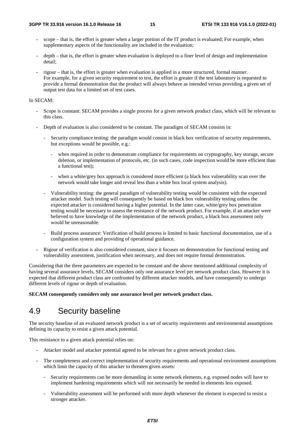- scope that is, the effort is greater when a larger portion of the IT product is evaluated; For example, when supplementary aspects of the functionality are included in the evaluation;
- depth that is, the effort is greater when evaluation is deployed to a finer level of design and implementation detail;
- rigour that is, the effort is greater when evaluation is applied in a more structured, formal manner. For example, for a given security requirement to test, the effort is greater if the test laboratory is requested to provide a formal demonstration that the product will always behave as intended versus providing a given set of output test data for a limited set of test cases.

#### In SECAM:

- Scope is constant: SECAM provides a single process for a given network product class, which will be relevant to this class.
- Depth of evaluation is also considered to be constant. The paradigm of SECAM consists in:
	- Security compliance testing: the paradigm would consist in black box verification of security requirements, but exceptions would be possible, e.g.:
		- when required in order to demonstrate compliance for requirements on cryptography, key storage, secure deletion, or implementation of protocols, etc. (in such cases, code inspection would be more efficient than a functional test);
		- when a white/grey box approach is considered more efficient (a black box vulnerability scan over the network would take longer and reveal less than a white box local system analysis).
	- Vulnerability testing: the general paradigm of vulnerability testing would be consistent with the expected attacker model. Such testing will consequently be based on black box vulnerability testing unless the expected attacker is considered having a higher potential. In the latter case, white/grey box penetration testing would be necessary to assess the resistance of the network product. For example, if an attacker were believed to have knowledge of the implementation of the network product, a black box assessment only would be unreasonable.
	- Build process assurance: Verification of build process is limited to basic functional documentation, use of a configuration system and providing of operational guidance.
- Rigour of verification is also considered constant, since it focuses on demonstration for functional testing and vulnerability assessment, justification when necessary, and does not require formal demonstration.

Considering that the three parameters are expected to be constant and the above mentioned additional complexity of having several assurance levels, SECAM considers only one assurance level per network product class. However it is expected that different product class are confronted by different attacker models, and have consequently to undergo different levels of rigour or depth of evaluation.

**SECAM consequently considers only one assurance level per network product class.** 

### 4.9 Security baseline

The security baseline of an evaluated network product is a set of security requirements and environmental assumptions defining its capacity to resist a given attack potential.

This resistance to a given attack potential relies on:

- Attacker model and attacker potential agreed to be relevant for a given network product class.
- The completeness and correct implementation of security requirements and operational environment assumptions which limit the capacity of this attacker to threaten given assets:
	- Security requirements can be more demanding in some network elements, e.g. exposed nodes will have to implement hardening requirements which will not necessarily be needed in elements less exposed.
	- Vulnerability assessment will be performed with more depth whenever the element is expected to resist a stronger attacker.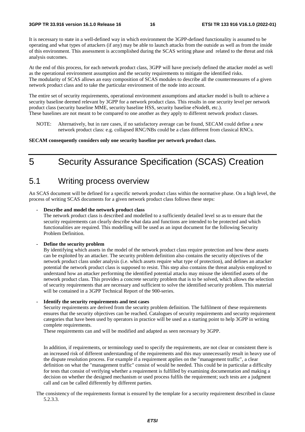It is necessary to state in a well-defined way in which environment the 3GPP-defined functionality is assumed to be operating and what types of attackers (if any) may be able to launch attacks from the outside as well as from the inside of this environment. This assessment is accomplished during the SCAS writing phase and related to the threat and risk analysis outcomes.

At the end of this process, for each network product class, 3GPP will have precisely defined the attacker model as well as the operational environment assumption and the security requirements to mitigate the identified risks. The modularity of SCAS allows an easy composition of SCAS modules to describe all the countermeasures of a given network product class and to take the particular environment of the node into account.

The entire set of security requirements, operational environment assumptions and attacker model is built to achieve a security baseline deemed relevant by 3GPP for a network product class. This results in one security level per network product class (security baseline MME, security baseline HSS, security baseline eNodeB, etc.).

- These baselines are not meant to be compared to one another as they apply to different network product classes.
	- NOTE: Alternatively, but in rare cases, if no satisfactory average can be found, SECAM could define a new network product class: e.g. collapsed RNC/NBs could be a class different from classical RNCs.

#### **SECAM consequently considers only one security baseline per network product class.**

# 5 Security Assurance Specification (SCAS) Creation

### 5.1 Writing process overview

An SCAS document will be defined for a specific network product class within the normative phase. On a high level, the process of writing SCAS documents for a given network product class follows these steps:

#### **- Describe and model the network product class**

The network product class is described and modelled to a sufficiently detailed level so as to ensure that the security requirements can clearly describe what data and functions are intended to be protected and which functionalities are required. This modelling will be used as an input document for the following Security Problem Definition.

#### **- Define the security problem**

By identifying which assets in the model of the network product class require protection and how these assets can be exploited by an attacker. The security problem definition also contains the security objectives of the network product class under analysis (i.e. which assets require what type of protection), and defines an attacker potential the network product class is supposed to resist. This step also contains the threat analysis employed to understand how an attacker performing the identified potential attacks may misuse the identified assets of the network product class. This provides a concrete security problem that is to be solved, which allows the selection of security requirements that are necessary and sufficient to solve the identified security problem. This material will be contained in a 3GPP Technical Report of the 900-series.

#### **- Identify the security requirements and test cases**

Security requirements are derived from the security problem definition. The fulfilment of these requirements ensures that the security objectives can be reached. Catalogues of security requirements and security requirement categories that have been used by operators in practice will be used as a starting point to help 3GPP in writing complete requirements.

These requirements can and will be modified and adapted as seen necessary by 3GPP.

In addition, if requirements, or terminology used to specify the requirements, are not clear or consistent there is an increased risk of different understanding of the requirements and this may unnecessarily result in heavy use of the dispute resolution process. For example if a requirement applies on the "management traffic", a clear definition on what the "management traffic" consist of would be needed. This could be in particular a difficulty for tests that consist of verifying whether a requirement is fulfilled by examining documentation and making a decision on whether the designed mechanism or used process fulfils the requirement; such tests are a judgment call and can be called differently by different parties.

The consistency of the requirements format is ensured by the template for a security requirement described in clause 5.2.3.3.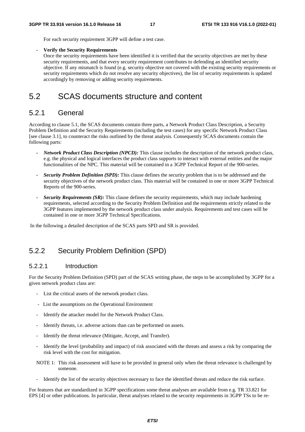For each security requirement 3GPP will define a test case.

#### **- Verify the Security Requirements**

Once the security requirements have been identified it is verified that the security objectives are met by these security requirements, and that every security requirement contributes to defending an identified security objective. If any mismatch is found (e.g. security objective not covered with the existing security requirements or security requirements which do not resolve any security objectives), the list of security requirements is updated accordingly by removing or adding security requirements.

### 5.2 SCAS documents structure and content

#### 5.2.1 General

According to clause 5.1, the SCAS documents contain three parts, a Network Product Class Description, a Security Problem Definition and the Security Requirements (including the test cases) for any specific Network Product Class [see clause 3.1], to counteract the risks outlined by the threat analysis. Consequently SCAS documents contain the following parts:

- *Network Product Class Description (NPCD):* This clause includes the description of the network product class, e.g. the physical and logical interfaces the product class supports to interact with external entities and the major functionalities of the NPC. This material will be contained in a 3GPP Technical Report of the 900-series.
- *Security Problem Definition (SPD):* This clause defines the security problem that is to be addressed and the security objectives of the network product class. This material will be contained in one or more 3GPP Technical Reports of the 900-series.
- *Security Requirements (SR):* This clause defines the security requirements, which may include hardening requirements, selected according to the Security Problem Definition and the requirements strictly related to the 3GPP features implemented by the network product class under analysis. Requirements and test cases will be contained in one or more 3GPP Technical Specifications.

In the following a detailed description of the SCAS parts SPD and SR is provided.

### 5.2.2 Security Problem Definition (SPD)

#### 5.2.2.1 Introduction

For the Security Problem Definition (SPD) part of the SCAS writing phase, the steps to be accomplished by 3GPP for a given network product class are:

- List the critical assets of the network product class.
- List the assumptions on the Operational Environment
- Identify the attacker model for the Network Product Class.
- Identify threats, i.e. adverse actions than can be performed on assets.
- Identify the threat relevance (Mitigate, Accept, and Transfer).
- Identify the level (probability and impact) of risk associated with the threats and assess a risk by comparing the risk level with the cost for mitigation.
- NOTE 1: This risk assessment will have to be provided in general only when the threat relevance is challenged by someone.
- Identify the list of the security objectives necessary to face the identified threats and reduce the risk surface.

For features that are standardized in 3GPP specifications some threat analyses are available from e.g. TR 33.821 for EPS [4] or other publications. In particular, threat analyses related to the security requirements in 3GPP TSs to be re-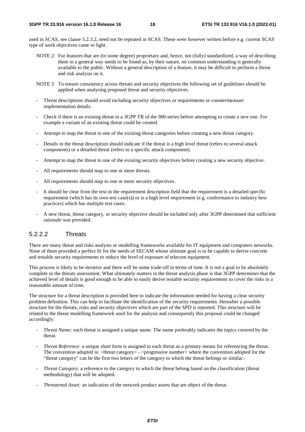used in SCAS, see clause 5.2.3.2, need not be repeated in SCAS. These were however written before e.g. current SCAS type of work objectives came to light.

- NOTE 2: For features that are (to some degree) proprietary and, hence, not (fully) standardized, a way of describing them in a general way needs to be found as, by their nature, no common understanding is generally available to the public. Without a general description of a feature, it may be difficult to perform a threat and risk analysis on it.
- NOTE 3 To ensure consistency across threats and security objectives the following set of guidelines should be applied when analysing proposed threat and security objectives.
- Threat descriptions should avoid including security objectives or requirements or countermeasure implementation details.
- Check if there is an existing threat in a 3GPP TR of the 900-series before attempting to create a new one. For example a variant of an existing threat could be created.
- Attempt to map the threat to one of the existing threat categories before creating a new threat category.
- Details in the threat description should indicate if the threat is a high level threat (refers to several attack components) or a detailed threat (refers to a specific attack component).
- Attempt to map the threat to one of the existing security objectives before creating a new security objective.
- All requirements should map to one or more threats.
- All requirements should map to one or more security objectives.
- It should be clear from the text in the requirement description field that the requirement is a detailed specific requirement (which has its own test case(s)) or is a high level requirement (e.g. conformance to industry best practices) which has multiple test cases.
- A new threat, threat category, or security objective should be included only after 3GPP determined that sufficient rationale was provided.

#### 5.2.2.2 Threats

There are many threat and risks analysis or modelling frameworks available for IT equipment and computers networks. None of them provided a perfect fit for the needs of SECAM whose ultimate goal is to be capable to derive concrete and testable security requirements to reduce the level of exposure of telecom equipment.

This process is likely to be iterative and there will be some trade-off in terms of time. It is not a goal to be absolutely complete in the threats assessment. What ultimately matters in the threat analysis phase is that 3GPP determines that the achieved level of details is good enough to be able to easily derive testable security requirements to cover the risks in a reasonable amount of time.

The structure for a threat description is provided here to indicate the information needed for having a clear security problem definition. This can help to facilitate the identification of the security requirements. Hereafter a possible structure for the threats, risks and security objectives which are part of the SPD is reported. This structure will be related to the threat modelling framework used for the analysis and consequently this proposal could be changed accordingly:

- *Threat Name:* each threat is assigned a unique name. The name preferably indicates the topics covered by the threat.
- *Threat Reference*: a unique short form is assigned to each threat as a primary means for referencing the threat. The convention adopted is: <threat category> - <progressive number> where the convention adopted for the "threat category" can be the first two letters of the category to which the threat belongs or similar.*-*
- *Threat Category*: a reference to the category to which the threat belong based on the classification (threat methodology) that will be adopted.
- *Threatened Asset:* an indication of the network product assets that are object of the threat.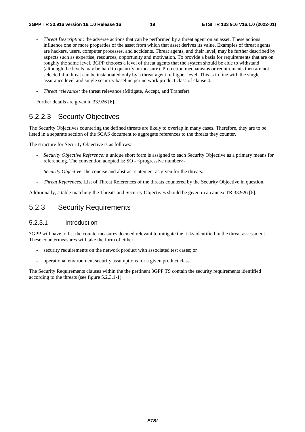- *Threat Description*: the adverse actions that can be performed by a threat agent on an asset. These actions influence one or more properties of the asset from which that asset derives its value. Examples of threat agents are hackers, users, computer processes, and accidents. Threat agents, and their level, may be further described by aspects such as expertise, resources, opportunity and motivation. To provide a basis for requirements that are on roughly the same level, 3GPP chooses a level of threat agents that the system should be able to withstand (although the levels may be hard to quantify or measure). Protection mechanisms or requirements then are not selected if a threat can be instantiated only by a threat agent of higher level. This is in line with the single assurance level and single security baseline per network product class of clause 4.
- *Threat relevance:* the threat relevance (Mitigate, Accept, and Transfer).

Further details are given in 33.926 [6].

### 5.2.2.3 Security Objectives

The Security Objectives countering the defined threats are likely to overlap in many cases. Therefore, they are to be listed in a separate section of the SCAS document to aggregate references to the threats they counter.

The structure for Security Objective is as follows:

- *Security Objective Reference:* a unique short form is assigned to each Security Objective as a primary means for referencing. The convention adopted is: SO - <progressive number>
- *Security Objective:* the concise and abstract statement as given for the threats.
- *Threat References:* List of Threat References of the threats countered by the Security Objective in question.

Additionally, a table matching the Threats and Security Objectives should be given in an annex TR 33.926 [6].

### 5.2.3 Security Requirements

#### 5.2.3.1 Introduction

3GPP will have to list the countermeasures deemed relevant to mitigate the risks identified in the threat assessment. These countermeasures will take the form of either:

- security requirements on the network product with associated test cases; or
- operational environment security assumptions for a given product class.

The Security Requirements clauses within the the pertinent 3GPP TS contain the security requirements identified according to the threats (see figure 5.2.3.1-1).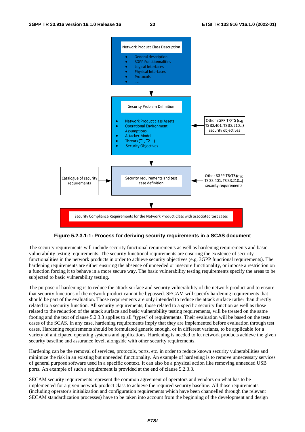

#### **Figure 5.2.3.1-1: Process for deriving security requirements in a SCAS document**

The security requirements will include security functional requirements as well as hardening requirements and basic vulnerability testing requirements. The security functional requirements are ensuring the existence of security functionalities in the network products in order to achieve security objectives (e.g. 3GPP functional requirements). The hardening requirements are either ensuring the absence of unneeded or insecure functionality, or impose a restriction on a function forcing it to behave in a more secure way. The basic vulnerability testing requirements specify the areas to be subjected to basic vulnerability testing.

The purpose of hardening is to reduce the attack surface and security vulnerability of the network product and to ensure that security functions of the network product cannot be bypassed. SECAM will specify hardening requirements that should be part of the evaluation. Those requirements are only intended to reduce the attack surface rather than directly related to a security function. All security requirements, those related to a specific security function as well as those related to the reduction of the attack surface and basic vulnerability testing requirements, will be treated on the same footing and the text of clause 5.2.3.3 applies to all "types" of requirements. Their evaluation will be based on the tests cases of the SCAS. In any case, hardening requirements imply that they are implemented before evaluation through test cases. Hardening requirements should be formulated generic enough, or in different variants, to be applicable for a variety of anticipated operating systems and applications. Hardening is needed to let network products achieve the given security baseline and assurance level, alongside with other security requirements.

Hardening can be the removal of services, protocols, ports, etc. in order to reduce known security vulnerabilities and minimize the risk in an existing but unneeded functionality. An example of hardening is to remove unnecessary services of general purpose software used in a specific context. It can also be a physical action like removing unneeded USB ports. An example of such a requirement is provided at the end of clause 5.2.3.3.

SECAM security requirements represent the common agreement of operators and vendors on what has to be implemented for a given network product class to achieve the required security baseline. All those requirements (including operator's initialization and configuration requirements which have been channelled through the relevant SECAM standardization processes) have to be taken into account from the beginning of the development and design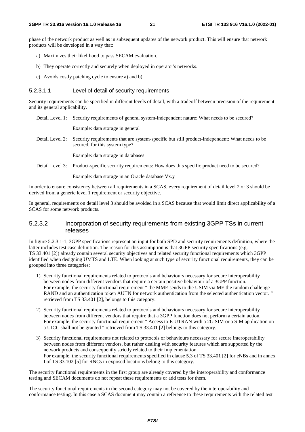phase of the network product as well as in subsequent updates of the network product. This will ensure that network products will be developed in a way that:

- a) Maximizes their likelihood to pass SECAM evaluation.
- b) They operate correctly and securely when deployed in operator's networks.
- c) Avoids costly patching cycle to ensure a) and b).

#### 5.2.3.1.1 Level of detail of security requirements

Security requirements can be specified in different levels of detail, with a tradeoff between precision of the requirement and its general applicability.

Detail Level 1: Security requirements of general system-independent nature: What needs to be secured?

Example: data storage in general

Detail Level 2: Security requirements that are system-specific but still product-independent: What needs to be secured, for this system type?

Example: data storage in databases

Detail Level 3: Product-specific security requirements: How does this specific product need to be secured?

Example: data storage in an Oracle database Vx.y

In order to ensure consistency between all requirements in a SCAS, every requirement of detail level 2 or 3 should be derived from a generic level 1 requirement or security objective.

In general, requirements on detail level 3 should be avoided in a SCAS because that would limit direct applicability of a SCAS for some network products.

#### 5.2.3.2 Incorporation of security requirements from existing 3GPP TSs in current releases

In figure 5.2.3.1-1, 3GPP specifications represent an input for both SPD and security requirements definition, where the latter includes test case definition. The reason for this assumption is that 3GPP security specifications (e.g. TS 33.401 [2]) already contain several security objectives and related security functional requirements which 3GPP identified when designing UMTS and LTE. When looking at such type of security functional requirements, they can be grouped into three categories:

- 1) Security functional requirements related to protocols and behaviours necessary for secure interoperability between nodes from different vendors that require a certain positive behaviour of a 3GPP function. For example, the security functional requirement " the MME sends to the USIM via ME the random challenge RAND and an authentication token AUTN for network authentication from the selected authentication vector. " retrieved from TS 33.401 [2], belongs to this category.
- 2) Security functional requirements related to protocols and behaviours necessary for secure interoperability between nodes from different vendors that require that a 3GPP function does not perform a certain action. For example, the security functional requirement " Access to E-UTRAN with a 2G SIM or a SIM application on a UICC shall not be granted " retrieved from TS 33.401 [2] belongs to this category.
- 3) Security functional requirements not related to protocols or behaviours necessary for secure interoperability between nodes from different vendors, but rather dealing with security features which are supported by the network products and consequently strictly related to their implementation. For example, the security functional requirements specified in clause 5.3 of TS 33.401 [2] for eNBs and in annex I of TS 33.102 [5] for RNCs in exposed locations belong to this category.

The security functional requirements in the first group are already covered by the interoperability and conformance testing and SECAM documents do not repeat these requirements or add tests for them.

The security functional requirements in the second category may not be covered by the interoperability and conformance testing. In this case a SCAS document may contain a reference to these requirements with the related test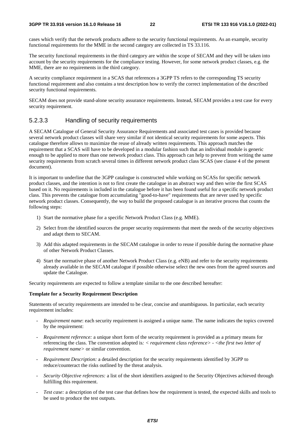cases which verify that the network products adhere to the security functional requirements. As an example, security functional requirements for the MME in the second category are collected in TS 33.116.

The security functional requirements in the third category are within the scope of SECAM and they will be taken into account by the security requirements for the compliance testing. However, for some network product classes, e.g. the MME, there are no requirements in the third category.

A security compliance requirement in a SCAS that references a 3GPP TS refers to the corresponding TS security functional requirement and also contains a test description how to verify the correct implementation of the described security functional requirements.

SECAM does not provide stand-alone security assurance requirements. Instead, SECAM provides a test case for every security requirement.

### 5.2.3.3 Handling of security requirements

A SECAM Catalogue of General Security Assurance Requirements and associated test cases is provided because several network product classes will share very similar if not identical security requirements for some aspects. This catalogue therefore allows to maximize the reuse of already written requirements. This approach matches the requirement that a SCAS will have to be developed in a modular fashion such that an individual module is generic enough to be applied to more than one network product class. This approach can help to prevent from writing the same security requirements from scratch several times in different network product class SCAS (see clause 4 of the present document).

It is important to underline that the 3GPP catalogue is constructed while working on SCASs for specific network product classes, and the intention is not to first create the catalogue in an abstract way and then write the first SCAS based on it. No requirements is included in the catalogue before it has been found useful for a specific network product class. This prevents the catalogue from accumulating "good-to-have" requirements that are never used by specific network product classes. Consequently, the way to build the proposed catalogue is an iterative process that counts the following steps:

- 1) Start the normative phase for a specific Network Product Class (e.g. MME).
- 2) Select from the identified sources the proper security requirements that meet the needs of the security objectives and adapt them to SECAM.
- 3) Add this adapted requirements in the SECAM catalogue in order to reuse if possible during the normative phase of other Network Product Classes.
- 4) Start the normative phase of another Network Product Class (e.g. eNB) and refer to the security requirements already available in the SECAM catalogue if possible otherwise select the new ones from the agreed sources and update the Catalogue.

Security requirements are expected to follow a template similar to the one described hereafter:

#### **Template for a Security Requirement Description**

Statements of security requirements are intended to be clear, concise and unambiguous. In particular, each security requirement includes:

- *Requirement name:* each security requirement is assigned a unique name. The name indicates the topics covered by the requirement:
- *Requirement reference:* a unique short form of the security requirement is provided as a primary means for referencing the class. The convention adopted is*: < requirement class reference> - <the first two letter of requirement name>* or similar convention.
- *Requirement Description:* a detailed description for the security requirements identified by 3GPP to reduce/counteract the risks outlined by the threat analysis.
- *Security Objective references:* a list of the short identifiers assigned to the Security Objectives achieved through fulfilling this requirement.
- *Test case:* a description of the test case that defines how the requirement is tested, the expected skills and tools to be used to produce the test outputs*.*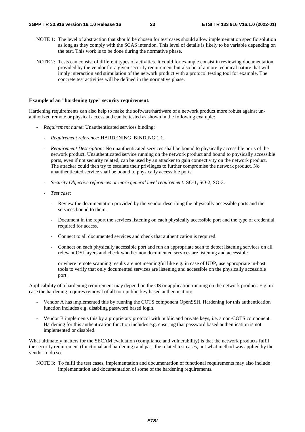- NOTE 1: The level of abstraction that should be chosen for test cases should allow implementation specific solution as long as they comply with the SCAS intention. This level of details is likely to be variable depending on the test. This work is to be done during the normative phase.
- NOTE 2: Tests can consist of different types of activities. It could for example consist in reviewing documentation provided by the vendor for a given security requirement but also be of a more technical nature that will imply interaction and stimulation of the network product with a protocol testing tool for example. The concrete test activities will be defined in the normative phase.

#### **Example of an "hardening type" security requirement:**

Hardening requirements can also help to make the software/hardware of a network product more robust against unauthorized remote or physical access and can be tested as shown in the following example:

- *Requirement name***:** Unauthenticated services binding:
	- *Requirement reference:* HARDENING BINDING.1.1.
	- *Requirement Description:* No unauthenticated services shall be bound to physically accessible ports of the network product. Unauthenticated service running on the network product and bound to physically accessible ports, even if not security related, can be used by an attacker to gain connectivity on the network product. The attacker could then try to escalate their privileges to further compromise the network product. No unauthenticated service shall be bound to physically accessible ports.
	- *Security Objective references or more general level requirement:* SO-1, SO-2, SO-3.
	- *Test case:* 
		- Review the documentation provided by the vendor describing the physically accessible ports and the services bound to them.
		- Document in the report the services listening on each physically accessible port and the type of credential required for access.
		- Connect to all documented services and check that authentication is required.
		- Connect on each physically accessible port and run an appropriate scan to detect listening services on all relevant OSI layers and check whether non documented services are listening and accessible.

 or where remote scanning results are not meaningful like e.g. in case of UDP, use appropriate in-host tools to verify that only documented services are listening and accessible on the physically accessible port.

Applicability of a hardening requirement may depend on the OS or application running on the network product. E.g. in case the hardening requires removal of all non-public-key based authentication:

- Vendor A has implemented this by running the COTS component OpenSSH. Hardening for this authentication function includes e.g. disabling password based login.
- Vendor B implements this by a proprietary protocol with public and private keys, i.e. a non-COTS component. Hardening for this authentication function includes e.g. ensuring that password based authentication is not implemented or disabled.

What ultimately matters for the SECAM evaluation (compliance and vulnerability) is that the network products fulfil the security requirement (functional and hardening) and pass the related test cases, not what method was applied by the vendor to do so.

NOTE 3: To fulfil the test cases, implementation and documentation of functional requirements may also include implementation and documentation of some of the hardening requirements.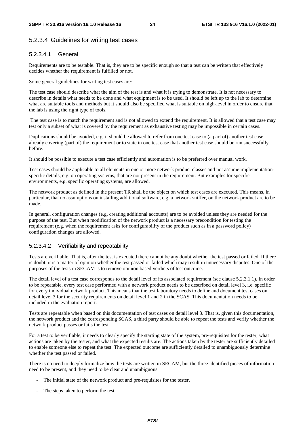### 5.2.3.4 Guidelines for writing test cases

#### 5.2.3.4.1 General

Requirements are to be testable. That is, they are to be specific enough so that a test can be written that effectively decides whether the requirement is fulfilled or not.

Some general guidelines for writing test cases are:

The test case should describe what the aim of the test is and what it is trying to demonstrate. It is not necessary to describe in details what needs to be done and what equipment is to be used. It should be left up to the lab to determine what are suitable tools and methods but it should also be specified what is suitable on high-level in order to ensure that the lab is using the right type of tools.

 The test case is to match the requirement and is not allowed to extend the requirement. It is allowed that a test case may test only a subset of what is covered by the requirement as exhaustive testing may be impossible in certain cases.

Duplications should be avoided, e.g. it should be allowed to refer from one test case to (a part of) another test case already covering (part of) the requirement or to state in one test case that another test case should be run successfully before.

It should be possible to execute a test case efficiently and automation is to be preferred over manual work.

Test cases should be applicable to all elements in one or more network product classes and not assume implementationspecific details, e.g. on operating systems, that are not present in the requirement. But examples for specific environments, e.g. specific operating systems, are allowed.

The network product as defined in the present TR shall be the object on which test cases are executed. This means, in particular, that no assumptions on installing additional software, e.g. a network sniffer, on the network product are to be made.

In general, configuration changes (e.g. creating additional accounts) are to be avoided unless they are needed for the purpose of the test. But when modification of the network product is a necessary precondition for testing the requirement (e.g. when the requirement asks for configurability of the product such as in a password policy) configuration changes are allowed.

### 5.2.3.4.2 Verifiability and repeatability

Tests are verifiable. That is, after the test is executed there cannot be any doubt whether the test passed or failed. If there is doubt, it is a matter of opinion whether the test passed or failed which may result in unnecessary disputes. One of the purposes of the tests in SECAM is to remove opinion based verdicts of test outcome.

The detail level of a test case corresponds to the detail level of its associated requirement (see clause 5.2.3.1.1). In order to be repeatable, every test case performed with a network product needs to be described on detail level 3, i.e. specific for every individual network product. This means that the test laboratory needs to define and document test cases on detail level 3 for the security requirements on detail level 1 and 2 in the SCAS. This documentation needs to be included in the evaluation report.

Tests are repeatable when based on this documentation of test cases on detail level 3. That is, given this documentation, the network product and the corresponding SCAS, a third party should be able to repeat the tests and verify whether the network product passes or fails the test.

For a test to be verifiable, it needs to clearly specify the starting state of the system, pre-requisites for the tester, what actions are taken by the tester, and what the expected results are. The actions taken by the tester are sufficiently detailed to enable someone else to repeat the test. The expected outcome are sufficiently detailed to unambiguously determine whether the test passed or failed.

There is no need to deeply formalize how the tests are written in SECAM, but the three identified pieces of information need to be present, and they need to be clear and unambiguous:

- The initial state of the network product and pre-requisites for the tester.
- The steps taken to perform the test.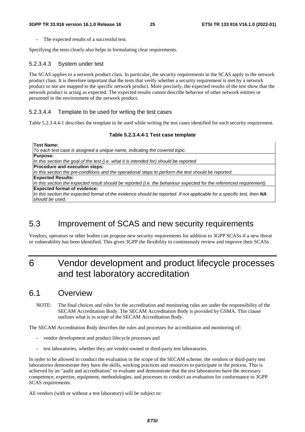The expected results of a successful test.

Specifying the tests clearly also helps in formulating clear requirements.

#### 5.2.3.4.3 System under test

The SCAS applies to a network product class. In particular, the security requirements in the SCAS apply to the network product class. It is therefore important that the tests that verify whether a security requirement is met by a network product or not are mapped to the specific network product. More precisely, the expected results of the test show that the network product is acting as expected. The expected results cannot describe behavior of other network entities or personnel in the environment of the network product.

#### 5.2.3.4.4 Template to be used for writing the test cases

Table 5.2.3.4.4-1 describes the template to be used while writing the test cases identified for each security requirement.

#### **Table 5.2.3.4.4-1 Test case template**

**Test Name:**  *To each test case is assigned a unique name, indicating the covered topic.* **Purpose:** *In this section the goal of the test (i.e. what it is intended for) should be reported*  **Procedure and execution steps:** *In this section the pre-conditions and the operational steps to perform the test should be reported.*  **Expected Results:** *In this section the expected result should be reported (i.e. the behaviour expected for the referenced requirement).* **Expected format of evidence:** *In this section the expected format of the evidence should be reported. If not applicable for a specific test, then NA should be used.* 

### 5.3 Improvement of SCAS and new security requirements

Vendors, operators or other bodies can propose new security requirements for addition to 3GPP SCASs if a new threat or vulnerability has been identified. This gives 3GPP the flexibility to continuously review and improve their SCASs .

## 6 Vendor development and product lifecycle processes and test laboratory accreditation

### 6.1 Overview

NOTE: The final choices and rules for the accreditation and monitoring rules are under the responsibility of the SECAM Accreditation Body. The SECAM Accreditation Body is provided by GSMA. This clause outlines what is in scope of the SECAM Accreditation Body.

The SECAM Accreditation Body describes the rules and processes for accreditation and monitoring of:

- vendor development and product lifecycle processes and
- test laboratories, whether they are vendor-owned or third-party test laboratories.

In order to be allowed to conduct the evaluation in the scope of the SECAM scheme, the vendors or third-party test laboratories demonstrate they have the skills, working practices and resources to participate in the process. This is achieved by an "audit and accreditation" to evaluate and demonstrate that the test laboratories have the necessary competence, expertise, equipment, methodologies, and processes to conduct an evaluation for conformance to 3GPP SCAS requirements.

All vendors (with or without a test laboratory) will be subject to: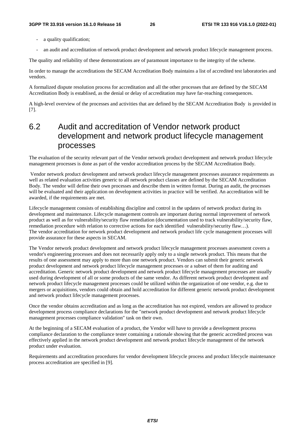- a quality qualification;
- an audit and accreditation of network product development and network product lifecycle management process.

The quality and reliability of these demonstrations are of paramount importance to the integrity of the scheme.

In order to manage the accreditations the SECAM Accreditation Body maintains a list of accredited test laboratories and vendors.

A formalized dispute resolution process for accreditation and all the other processes that are defined by the SECAM Accreditation Body is establised, as the denial or delay of accreditation may have far-reaching consequences.

A high-level overview of the processes and activities that are defined by the SECAM Accreditation Body is provided in [7].

### 6.2 Audit and accreditation of Vendor network product development and network product lifecycle management processes

The evaluation of the security relevant part of the Vendor network product development and network product lifecycle management processes is done as part of the vendor accreditation process by the SECAM Accreditation Body.

 Vendor network product development and network product lifecycle management processes assurance requirements as well as related evaluation activities generic to all network product classes are defined by the SECAM Accreditation Body. The vendor will define their own processes and describe them in written format. During an audit, the processes will be evaluated and their application on development activities in practice will be verified. An accreditation will be awarded, if the requirements are met.

Lifecycle management consists of establishing discipline and control in the updates of network product during its development and maintenance. Lifecycle management controls are important during normal improvement of network product as well as for vulnerability/security flaw remediation (documentation used to track vulnerability/security flaw, remediation procedure with relation to corrective actions for each identified vulnerability/security flaw...). The vendor accreditation for network product development and network product life cycle management processes will provide assurance for these aspects in SECAM.

The Vendor network product development and network product lifecycle management processes assessment covers a vendor's engineering processes and does not necessarily apply only to a single network product. This means that the results of one assessment may apply to more than one network product. Vendors can submit their generic network product development and network product lifecycle management processes or a subset of them for auditing and accreditation. Generic network product development and network product lifecycle management processes are usually used during development of all or some products of the same vendor. As different network product development and network product lifecycle management processes could be utilized within the organization of one vendor, e.g. due to mergers or acquisitions, vendors could obtain and hold accreditation for different generic network product development and network product lifecycle management processes.

Once the vendor obtains accreditation and as long as the accreditation has not expired, vendors are allowed to produce development process compliance declarations for the "network product development and network product lifecycle management processes compliance validation" task on their own.

At the beginning of a SECAM evaluation of a product, the Vendor will have to provide a development process compliance declaration to the compliance tester containing a rationale showing that the generic accredited process was effectively applied in the network product development and network product lifecycle management of the network product under evaluation.

Requirements and accreditation procedures for vendor development lifecycle process and product lifecycle maintenance process accreditation are specified in [9].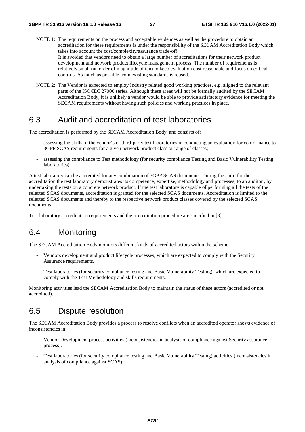- NOTE 1: The requirements on the process and acceptable evidences as well as the procedure to obtain an accreditation for these requirements is under the responsibility of the SECAM Accreditation Body which takes into account the cost/complexity/assurance trade-off. It is avoided that vendors need to obtain a large number of accreditations for their network product development and network product lifecycle management process. The number of requirements is relatively small (an order of magnitude of ten) to keep evaluation cost reasonable and focus on critical controls. As much as possible from existing standards is reused.
- NOTE 2: The Vendor is expected to employ Industry related good working practices, e.g. aligned to the relevant parts of the ISO/IEC 27000 series. Although these areas will not be formally audited by the SECAM Accreditation Body, it is unlikely a vendor would be able to provide satisfactory evidence for meeting the SECAM requirements without having such policies and working practices in place.

### 6.3 Audit and accreditation of test laboratories

The accreditation is performed by the SECAM Accreditation Body, and consists of:

- assessing the skills of the vendor's or third-party test laboratories in conducting an evaluation for conformance to 3GPP SCAS requirements for a given network product class or range of classes;
- assessing the compliance to Test methodology (for security compliance Testing and Basic Vulnerability Testing laboratories).

A test laboratory can be accredited for any combination of 3GPP SCAS documents. During the audit for the accreditation the test laboratory demonstrates its competence, expertise, methodology and processes, to an auditor , by undertaking the tests on a concrete network product. If the test laboratory is capable of performing all the tests of the selected SCAS documents, accreditation is granted for the selected SCAS documents. Accreditation is limited to the selected SCAS documents and thereby to the respective network product classes covered by the selected SCAS documents.

Test laboratory accreditation requirements and the accreditation procedure are specified in [8].

### 6.4 Monitoring

The SECAM Accreditation Body monitors different kinds of accredited actors within the scheme:

- Vendors development and product lifecycle processes, which are expected to comply with the Security Assurance requirements.
- Test laboratories (for security compliance testing and Basic Vulnerability Testing), which are expected to comply with the Test Methodology and skills requirements.

Monitoring activities lead the SECAM Accreditation Body to maintain the status of these actors (accredited or not accredited).

### 6.5 Dispute resolution

The SECAM Accreditation Body provides a process to resolve conflicts when an accredited operator shows evidence of inconsistencies in:

- Vendor Development process activities (inconsistencies in analysis of compliance against Security assurance process).
- Test laboratories (for security compliance testing and Basic Vulnerability Testing) activities (inconsistencies in analysis of compliance against SCAS).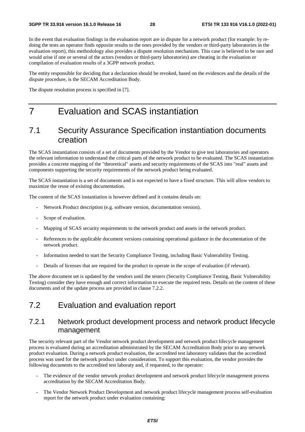In the event that evaluation findings in the evaluation report are in dispute for a network product (for example: by redoing the tests an operator finds opposite results to the ones provided by the vendors or third-party laboratories in the evaluation report), this methodology also provides a dispute resolution mechanism. This case is believed to be rare and would arise if one or several of the actors (vendors or third-party laboratories) are cheating in the evaluation or compilation of evaluation results of a 3GPP network product.

The entity responsible for deciding that a declaration should be revoked, based on the evidences and the details of the dispute procedure, is the SECAM Accreditation Body.

The dispute resolution process is specified in [7].

# 7 Evaluation and SCAS instantiation

### 7.1 Security Assurance Specification instantiation documents creation

The SCAS instantiation consists of a set of documents provided by the Vendor to give test laboratories and operators the relevant information to understand the critical parts of the network product to be evaluated. The SCAS instantiation provides a concrete mapping of the "theoretical" assets and security requirements of the SCAS into "real" assets and components supporting the security requirements of the network product being evaluated.

The SCAS instantiation is a set of documents and is not expected to have a fixed structure. This will allow vendors to maximize the reuse of existing documentation.

The content of the SCAS instantiation is however defined and it contains details on:

- Network Product description (e.g. software version, documentation version).
- Scope of evaluation.
- Mapping of SCAS security requirements to the network product and assets in the network product.
- References to the applicable document versions containing operational guidance in the documentation of the network product.
- Information needed to start the Security Compliance Testing, including Basic Vulnerability Testing.
- Details of licenses that are required for the product to operate in the scope of evaluation (if relevant).

The above document set is updated by the vendors until the testers (Security Compliance Testing, Basic Vulnerability Testing) consider they have enough and correct information to execute the required tests. Details on the content of these documents and of the update process are provided in clause 7.2.2.

### 7.2 Evaluation and evaluation report

### 7.2.1 Network product development process and network product lifecycle management

The security relevant part of the Vendor network product development and network product lifecycle management process is evaluated during an accreditation administrated by the SECAM Accreditation Body prior to any network product evaluation. During a network product evaluation, the accredited test laboratory validates that the accredited process was used for the network product under consideration. To support this evaluation, the vendor provides the following documents to the accredited test laboraty and, if requested, to the operator:

- The evidence of the vendor network product development and network product lifecycle management process accreditation by the SECAM Accreditation Body.
- The Vendor Network Product Development and network product lifecycle management process self-evaluation report for the network product under evaluation containing: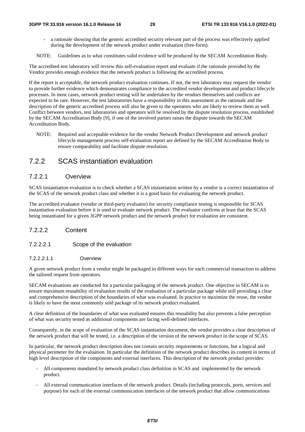a rationale showing that the generic accredited security relevant part of the process was effectively applied during the development of the network product under evaluation (free-form).

NOTE: Guidelines as to what constitutes valid evidence will be produced by the SECAM Accreditation Body.

The accredited test laboratory will review this self-evaluation report and evaluate if the rationale provided by the Vendor provides enough evidence that the network product is following the accredited process.

If the report is acceptable, the network product evaluation continues. If not, the test laboratory may request the vendor to provide further evidence which demonstrates compliance to the accredited vendor development and product lifecycle processes. In most cases, network product testing will be undertaken by the vendors themselves and conflicts are expected to be rare. However, the test laboratories have a responsibility in this assessment as the rationale and the description of the generic accredited process will also be given to the operators who are likely to review them as well. Conflict between vendors, test laboratories and operators will be resolved by the dispute resolution process, established by the SECAM Accreditation Body [9], if one of the involved parties raises the dispute towards the SECAM Accreditation Body.

NOTE: Required and acceptable evidence for the vendor Network Product Development and network product lifecycle management process self-evaluation report are defined by the SECAM Accreditation Body to ensure comparability and facilitate dispute resolution.

### 7.2.2 SCAS instantiation evaluation

#### 7.2.2.1 Overview

SCAS instantiation evaluation is to check whether a SCAS instantiation written by a vendor is a correct instantiation of the SCAS of the network product class and whether it is a good basis for evaluating the network product.

The accredited evaluator (vendor or third-party evaluator) for security compliance testing is responsible for SCAS instantiation evaluation before it is used to evaluate network product. The evaluator confirms at least that the SCAS being instantiated for a given 3GPP network product and the network product for evaluation are consistent.

#### 7.2.2.2 Content

#### 7.2.2.2.1 Scope of the evaluation

#### 7.2.2.2.1.1 Overview

A given network product from a vendor might be packaged in different ways for each commercial transaction to address the tailored request from operators.

SECAM evaluations are conducted for a particular packaging of the network product. One objective in SECAM is to ensure maximum reusability of evaluation results of the evaluation of a particular package while still providing a clear and comprehensive description of the boundaries of what was evaluated. In practice to maximize the reuse, the vendor is likely to have the most commonly sold package of its network product evaluated.

A clear definition of the boundaries of what was evaluated ensures this reusability but also prevents a false perception of what was security tested as additional components are facing well-defined interfaces.

Consequently, in the scope of evaluation of the SCAS instantiation document, the vendor provides a clear description of the network product that will be tested, i.e. a description of the version of the network product in the scope of SCAS.

In particular, the network product description does not contain security requirements or functions, but a logical and physical perimeter for the evaluation. In particular the definition of the network product describes its content in terms of high level description of the components and external interfaces. This description of the network product provides:

- All components mandated by network product class definition in SCAS and implemented by the network product.
- All external communication interfaces of the network product. Details (including protocols, ports, services and purpose) for each of the external communication interfaces of the network product that allow communications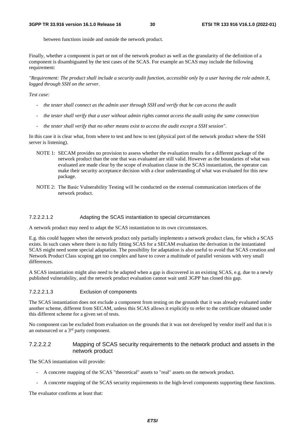between functions inside and outside the network product.

Finally, whether a component is part or not of the network product as well as the granularity of the definition of a component is disambiguated by the test cases of the SCAS. For example an SCAS may include the following requirement:

*"Requirement: The product shall include a security audit function, accessible only by a user having the role admin X, logged through SSH on the server.* 

#### *Test case:*

- *the tester shall connect as the admin user through SSH and verify that he can access the audit*
- *the tester shall verify that a user without admin rights cannot access the audit using the same connection*
- *the tester shall verify that no other means exist to access the audit except a SSH session".*

In this case it is clear what, from where to test and how to test (physical port of the network product where the SSH server is listening).

- NOTE 1: SECAM provides no provision to assess whether the evaluation results for a different package of the network product than the one that was evaluated are still valid. However as the boundaries of what was evaluated are made clear by the scope of evaluation clause in the SCAS instantiation, the operator can make their security acceptance decision with a clear understanding of what was evaluated for this new package.
- NOTE 2: The Basic Vulnerability Testing will be conducted on the external communication interfaces of the network product.

#### 7.2.2.2.1.2 Adapting the SCAS instantiation to special circumstances

A network product may need to adapt the SCAS instantiation to its own circumstances.

E.g. this could happen when the network product only partially implements a network product class, for which a SCAS exists. In such cases where there is no fully fitting SCAS for a SECAM evaluation the derivation in the instantiated SCAS might need some special adaptation. The possibility for adaptation is also useful to avoid that SCAS creation and Network Product Class scoping get too complex and have to cover a multitude of parallel versions with very small differences.

A SCAS instantiation might also need to be adapted when a gap is discovered in an existing SCAS, e.g. due to a newly published vulnerability, and the network product evaluation cannot wait until 3GPP has closed this gap.

#### 7.2.2.2.1.3 Exclusion of components

The SCAS instantiation does not exclude a component from testing on the grounds that it was already evaluated under another scheme, different from SECAM, unless this SCAS allows it explicitly to refer to the certificate obtained under this different scheme for a given set of tests.

No component can be excluded from evaluation on the grounds that it was not developed by vendor itself and that it is an outsourced or a 3rd party component.

#### 7.2.2.2.2 Mapping of SCAS security requirements to the network product and assets in the network product

The SCAS instantiation will provide:

- A concrete mapping of the SCAS "theoretical" assets to "real" assets on the network product.
- A concrete mapping of the SCAS security requirements to the high-level components supporting these functions.

The evaluator confirms at least that: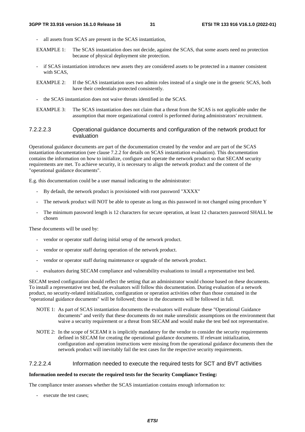- all assets from SCAS are present in the SCAS instantiation,
- EXAMPLE 1: The SCAS instantiation does not decide, against the SCAS, that some assets need no protection because of physical deployment site protection.
- if SCAS instantiation introduces new assets they are considered assets to be protected in a manner consistent with SCAS,
- EXAMPLE 2: If the SCAS instantiation uses two admin roles instead of a single one in the generic SCAS, both have their credentials protected consistently.
- the SCAS instantiation does not waive threats identified in the SCAS.
- EXAMPLE 3: The SCAS instantiation does not claim that a threat from the SCAS is not applicable under the assumption that more organizational control is performed during administrators' recruitment.

#### 7.2.2.2.3 Operational guidance documents and configuration of the network product for evaluation

Operational guidance documents are part of the documentation created by the vendor and are part of the SCAS instantiation documentation (see clause 7.2.2 for details on SCAS instantiation evaluation). This documentation contains the information on how to initialize, configure and operate the network product so that SECAM security requirements are met. To achieve security, it is necessary to align the network product and the content of the "operational guidance documents".

E.g. this documentation could be a user manual indicating to the administrator:

- By default, the network product is provisioned with root password "XXXX"
- The network product will NOT be able to operate as long as this password in not changed using procedure Y
- The minimum password length is 12 characters for secure operation, at least 12 characters password SHALL be chosen

These documents will be used by:

- vendor or operator staff during initial setup of the network product.
- vendor or operator staff during operation of the network product.
- vendor or operator staff during maintenance or upgrade of the network product.
- evaluators during SECAM compliance and vulnerability evaluations to install a representative test bed.

SECAM tested configuration should reflect the setting that an administrator would choose based on these documents. To install a representative test bed, the evaluators will follow this documentation. During evaluation of a network product, no security-related initialization, configuration or operation activities other than those contained in the "operational guidance documents" will be followed; those in the documents will be followed in full.

- NOTE 1: As part of SCAS instantiation documents the evaluators will evaluate these "Operational Guidance documents" and verify that these documents do not make unrealistic assumptions on the environment that waive a security requirement or a threat from SECAM and would make the test bed not representative.
- NOTE 2: In the scope of SCEAM it is implicitly mandatory for the vendor to consider the security requirements defined in SECAM for creating the operational guidance documents. If relevant initialization, configuration and operation instructions were missing from the operational guidance documents then the network product will inevitably fail the test cases for the respective security requirements.

#### 7.2.2.2.4 Information needed to execute the required tests for SCT and BVT activities

#### **Information needed to execute the required tests for the Security Compliance Testing:**

The compliance tester assesses whether the SCAS instantiation contains enough information to:

execute the test cases;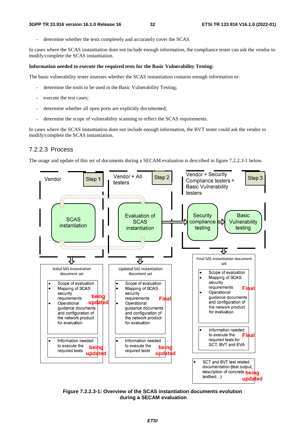determine whether the tests completely and accurately cover the SCAS.

In cases where the SCAS instantiation does not include enough information, the compliance tester can ask the vendor to modify/complete the SCAS instantiation.

#### **Information needed to execute the required tests for the Basic Vulnerability Testing:**

The basic vulnerability tester assesses whether the SCAS instantiation contains enough information to:

- determine the tools to be used in the Basic Vulnerability Testing;
- execute the test cases;
- determine whether all open ports are explicitly documented;
- determine the scope of vulnerability scanning to reflect the SCAS requirements.

In cases where the SCAS instantiation does not include enough information, the BVT tester could ask the vendor to modify/complete the SCAS instantiation.

#### 7.2.2.3 Process

The usage and update of this set of documents during a SECAM evaluation is described in figure 7.2.2.3-1 below.



**Figure 7.2.2.3-1: Overview of the SCAS instantiation documents evolution during a SECAM evaluation**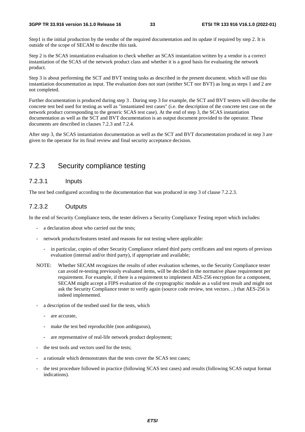Step1 is the initial production by the vendor of the required documentation and its update if required by step 2. It is outside of the scope of SECAM to describe this task.

Step 2 is the SCAS instantiation evaluation to check whether an SCAS instantiation written by a vendor is a correct instantiation of the SCAS of the network product class and whether it is a good basis for evaluating the network product.

Step 3 is about performing the SCT and BVT testing tasks as described in the present document. which will use this instantiation documentation as input. The evaluation does not start (neither SCT nor BVT) as long as steps 1 and 2 are not completed.

Further documentation is produced during step 3 . During step 3 for example, the SCT and BVT testers will describe the concrete test bed used for testing as well as "instantiated test cases" (i.e. the description of the concrete test case on the network product corresponding to the generic SCAS test case). At the end of step 3, the SCAS instantiation documentation as well as the SCT and BVT documentation is an output document provided to the operator. These documents are described in clauses 7.2.3 and 7.2.4.

After step 3, the SCAS instantiation documentation as well as the SCT and BVT documentation produced in step 3 are given to the operator for its final review and final security acceptance decision.

### 7.2.3 Security compliance testing

#### 7.2.3.1 Inputs

The test bed configured according to the documentation that was produced in step 3 of clause 7.2.2.3.

#### 7.2.3.2 Outputs

In the end of Security Compliance tests, the tester delivers a Security Compliance Testing report which includes:

- a declaration about who carried out the tests:
- network products/features tested and reasons for not testing where applicable:
	- in particular, copies of other Security Compliance related third party certificates and test reports of previous evaluation (internal and/or third party), if appropriate and available;
- NOTE: Whether SECAM recognizes the results of other evaluation schemes, so the Security Compliance tester can avoid re-testing previously evaluated items, will be decided in the normative phase requirement per requirement. For example, if there is a requirement to implement AES-256 encryption for a component, SECAM might accept a FIPS evaluation of the cryptographic module as a valid test result and might not ask the Security Compliance tester to verify again (source code review, test vectors…) that AES-256 is indeed implemented.
- a description of the testbed used for the tests, which
	- are accurate,
	- make the test bed reproducible (non ambiguous),
	- are representative of real-life network product deployment:
- the test tools and vectors used for the tests;
- a rationale which demonstrates that the tests cover the SCAS test cases;
- the test procedure followed in practice (following SCAS test cases) and results (following SCAS output format indications).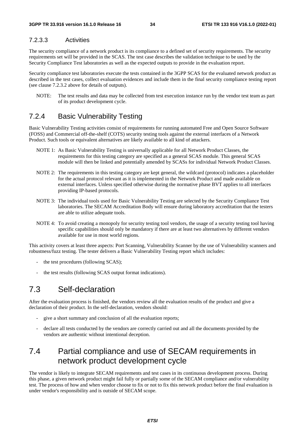### 7.2.3.3 Activities

The security compliance of a network product is its compliance to a defined set of security requirements. The security requirements set will be provided in the SCAS. The test case describes the validation technique to be used by the Security Compliance Test laboratories as well as the expected outputs to provide in the evaluation report.

Security compliance test laboratories execute the tests contained in the 3GPP SCAS for the evaluated network product as described in the test cases, collect evaluation evidences and include them in the final security compliance testing report (see clause 7.2.3.2 above for details of outputs).

NOTE: The test results and data may be collected from test execution instance run by the vendor test team as part of its product development cycle.

### 7.2.4 Basic Vulnerability Testing

Basic Vulnerability Testing activities consist of requirements for running automated Free and Open Source Software (FOSS) and Commercial off-the-shelf (COTS) security testing tools against the external interfaces of a Network Product. Such tools or equivalent alternatives are likely available to all kind of attackers.

- NOTE 1: As Basic Vulnerability Testing is universally applicable for all Network Product Classes, the requirements for this testing category are specified as a general SCAS module. This general SCAS module will then be linked and potentially amended by SCASs for individual Network Product Classes.
- NOTE 2: The requirements in this testing category are kept general, the wildcard (protocol) indicates a placeholder for the actual protocol relevant as it is implemented in the Network Product and made available on external interfaces. Unless specified otherwise during the normative phase BVT applies to all interfaces providing IP-based protocols.
- NOTE 3: The individual tools used for Basic Vulnerability Testing are selected by the Security Compliance Test laboratories. The SECAM Accreditation Body will ensure during laboratory accreditation that the testers are able to utilize adequate tools.
- NOTE 4: To avoid creating a monopoly for security testing tool vendors, the usage of a security testing tool having specific capabilities should only be mandatory if there are at least two alternatives by different vendors available for use in most world regions.

This activity covers at least three aspects: Port Scanning, Vulnerability Scanner by the use of Vulnerability scanners and robustness/fuzz testing. The tester delivers a Basic Vulnerability Testing report which includes:

- the test procedures (following SCAS);
- the test results (following SCAS output format indications).

## 7.3 Self-declaration

After the evaluation process is finished, the vendors review all the evaluation results of the product and give a declaration of their product. In the self-declaration, vendors should:

- give a short summary and conclusion of all the evaluation reports;
- declare all tests conducted by the vendors are correctly carried out and all the documents provided by the vendors are authentic without intentional deception.

### 7.4 Partial compliance and use of SECAM requirements in network product development cycle

The vendor is likely to integrate SECAM requirements and test cases in its continuous development process. During this phase, a given network product might fail fully or partially some of the SECAM compliance and/or vulnerability test. The process of how and when vendor choose to fix or not to fix this network product before the final evaluation is under vendor's responsibility and is outside of SECAM scope.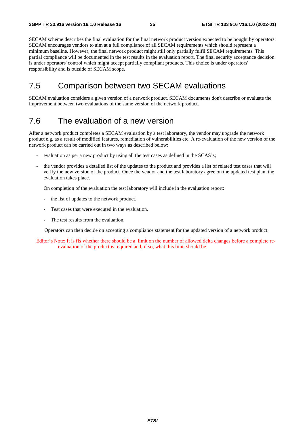SECAM scheme describes the final evaluation for the final network product version expected to be bought by operators. SECAM encourages vendors to aim at a full compliance of all SECAM requirements which should represent a minimum baseline. However, the final network product might still only partially fulfil SECAM requirements. This partial compliance will be documented in the test results in the evaluation report. The final security acceptance decision is under operators' control which might accept partially compliant products. This choice is under operators' responsibility and is outside of SECAM scope.

### 7.5 Comparison between two SECAM evaluations

SECAM evaluation considers a given version of a network product. SECAM documents don't describe or evaluate the improvement between two evaluations of the same version of the network product.

### 7.6 The evaluation of a new version

After a network product completes a SECAM evaluation by a test laboratory, the vendor may upgrade the network product e.g. as a result of modified features, remediation of vulnerabilities etc. A re-evaluation of the new version of the network product can be carried out in two ways as described below:

- evaluation as per a new product by using all the test cases as defined in the SCAS's;
- the vendor provides a detailed list of the updates to the product and provides a list of related test cases that will verify the new version of the product. Once the vendor and the test laboratory agree on the updated test plan, the evaluation takes place.

On completion of the evaluation the test laboratory will include in the evaluation report:

- the list of updates to the network product.
- Test cases that were executed in the evaluation.
- The test results from the evaluation.

Operators can then decide on accepting a compliance statement for the updated version of a network product.

Editor's Note: It is ffs whether there should be a limit on the number of allowed delta changes before a complete reevaluation of the product is required and, if so, what this limit should be.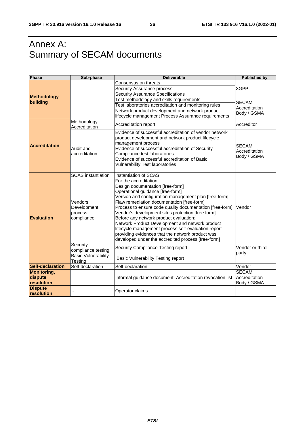# Annex A: Summary of SECAM documents

| <b>Phase</b>                                                           | Sub-phase                                                    | <b>Deliverable</b>                                                                                                                                                                                                                                                                                                                                                                                                                                                                                                                                                                   | <b>Published by</b>                                    |
|------------------------------------------------------------------------|--------------------------------------------------------------|--------------------------------------------------------------------------------------------------------------------------------------------------------------------------------------------------------------------------------------------------------------------------------------------------------------------------------------------------------------------------------------------------------------------------------------------------------------------------------------------------------------------------------------------------------------------------------------|--------------------------------------------------------|
|                                                                        |                                                              | Consensus on threats<br>Security Assurance process<br><b>Security Assurance Specifications</b>                                                                                                                                                                                                                                                                                                                                                                                                                                                                                       | 3GPP                                                   |
| <b>Methodology</b><br>building                                         |                                                              | Test methodology and skills requirements<br>Test laboratories accreditation and monitoring rules<br>Network product development and network product<br>lifecycle management Process Assurance requirements                                                                                                                                                                                                                                                                                                                                                                           | <b>SECAM</b><br>Accreditation<br>Body / GSMA           |
|                                                                        | Methodology<br>Accreditation                                 | Accreditation report                                                                                                                                                                                                                                                                                                                                                                                                                                                                                                                                                                 | Accreditor                                             |
| <b>Accreditation</b>                                                   | Audit and<br>accreditation                                   | Evidence of successful accreditation of vendor network<br>product development and network product lifecycle<br>management process<br>Evidence of successful accreditation of Security<br>Compliance test laboratories<br>Evidence of successful accreditation of Basic<br><b>Vulnerability Test laboratories</b>                                                                                                                                                                                                                                                                     | <b>SECAM</b><br>Accreditation<br>Body / GSMA           |
|                                                                        | <b>SCAS</b> instantiation                                    | Instantiation of SCAS                                                                                                                                                                                                                                                                                                                                                                                                                                                                                                                                                                |                                                        |
| Evaluation                                                             | Vendors<br>Development<br>process<br>compliance              | For the accreditation:<br>Design documentation [free-form]<br>Operational guidance [free-form]<br>Version and configuration management plan [free-form]<br>Flaw remediation documentation [free-form]<br>Process to ensure code quality documentation [free-form]<br>Vendor's development sites protection [free form]<br>Before any network product evaluation:<br>Network Product Development and network product<br>lifecycle management process self-evaluation report<br>providing evidences that the network product was<br>developed under the accredited process [free-form] | Vendor                                                 |
|                                                                        | Security<br>compliance testing<br><b>Basic Vulnerability</b> | Security Compliance Testing report                                                                                                                                                                                                                                                                                                                                                                                                                                                                                                                                                   | Vendor or third-<br>party                              |
|                                                                        | Testing                                                      | Basic Vulnerability Testing report                                                                                                                                                                                                                                                                                                                                                                                                                                                                                                                                                   |                                                        |
| <b>Self-declaration</b><br><b>Monitoring,</b><br>dispute<br>resolution | Self-declaration                                             | Self-declaration<br>Informal guidance document. Accreditation revocation list                                                                                                                                                                                                                                                                                                                                                                                                                                                                                                        | Vendor<br><b>SECAM</b><br>Accreditation<br>Body / GSMA |
| <b>Dispute</b><br>resolution                                           |                                                              | Operator claims                                                                                                                                                                                                                                                                                                                                                                                                                                                                                                                                                                      |                                                        |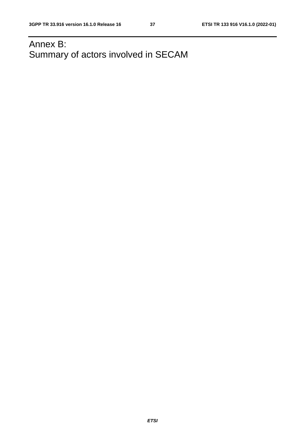# Annex B: Summary of actors involved in SECAM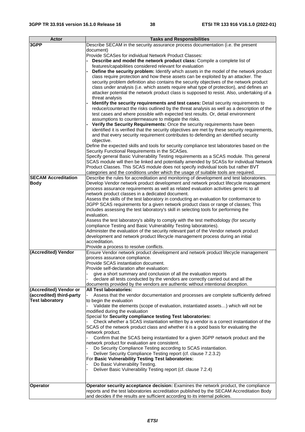| <b>Actor</b>               | <b>Tasks and Responsibilities</b>                                                              |
|----------------------------|------------------------------------------------------------------------------------------------|
| 3GPP                       | Describe SECAM in the security assurance process documentation (i.e. the present               |
|                            |                                                                                                |
|                            | document)                                                                                      |
|                            | Provide SCASes for individual Network Product Classes:                                         |
|                            | Describe and model the network product class: Compile a complete list of                       |
|                            | features/capabilities considered relevant for evaluation                                       |
|                            | Define the security problem: Identify which assets in the model of the network product         |
|                            | class require protection and how these assets can be exploited by an attacker. The             |
|                            | security problem definition also contains the security objectives of the network product       |
|                            | class under analysis (i.e. which assets require what type of protection), and defines an       |
|                            | attacker potential the network product class is supposed to resist. Also, undertaking of a     |
|                            | threat analysis                                                                                |
|                            | Identify the security requirements and test cases: Detail security requirements to             |
|                            |                                                                                                |
|                            | reduce/counteract the risks outlined by the threat analysis as well as a description of the    |
|                            | test cases and where possible with expected test results. Or, detail environment               |
|                            | assumptions to countermeasure to mitigate the risks.                                           |
|                            | Verify the Security Requirements: Once the security requirements have been                     |
|                            | identified it is verified that the security objectives are met by these security requirements, |
|                            | and that every security requirement contributes to defending an identified security            |
|                            | objective.                                                                                     |
|                            | Define the expected skills and tools for security compliance test laboratories based on the    |
|                            | Security Functional Requirements in the SCASes.                                                |
|                            | Specify general Basic Vulnerability Testing requirements as a SCAS module. This general        |
|                            |                                                                                                |
|                            | SCAS module will then be linked and potentially amended by SCASs for individual Network        |
|                            | Product Classes. This SCAS module does not specify individual tools but rather BVT             |
|                            | categories and the conditions under which the usage of suitable tools are required.            |
| <b>SECAM Accreditation</b> | Describe the rules for accreditation and monitoring of development and test laboratories.      |
| <b>Body</b>                | Develop Vendor network product development and network product lifecycle management            |
|                            | process assurance requirements as well as related evaluation activities generic to all         |
|                            | network product classes in a dedicated document.                                               |
|                            | Assess the skills of the test laboratory in conducting an evaluation for conformance to        |
|                            | 3GPP SCAS requirements for a given network product class or range of classes; This             |
|                            | includes assessing the test laboratory's skill in selecting tools for performing the           |
|                            | evaluation.                                                                                    |
|                            | Assess the test laboratory's ability to comply with the test methodology (for security         |
|                            | compliance Testing and Basic Vulnerability Testing laboratories).                              |
|                            |                                                                                                |
|                            | Administer the evaluation of the security relevant part of the Vendor network product          |
|                            | development and network product lifecycle management process during an initial                 |
|                            | accreditation.                                                                                 |
|                            | Provide a process to resolve conflicts.                                                        |
| (Accredited) Vendor        | Ensure Vendor network product development and network product lifecycle management             |
|                            | process assurance compliance.                                                                  |
|                            | Provide SCAS instantiation document.                                                           |
|                            | Provide self-declaration after evaluation:                                                     |
|                            | give a short summary and conclusion of all the evaluation reports                              |
|                            | declare all tests conducted by the vendors are correctly carried out and all the               |
|                            | documents provided by the vendors are authentic without intentional deception.                 |
| (Accredited) Vendor or     | <b>All Test laboratories:</b>                                                                  |
| (accredited) third-party   | Assess that the vendor documentation and processes are complete sufficiently defined           |
| <b>Test laboratory</b>     |                                                                                                |
|                            | to begin the evaluation                                                                        |
|                            | Validate the elements (scope of evaluation, instantiated assets) which will not be             |
|                            | modified during the evaluation                                                                 |
|                            | Special for Security compliance testing Test laboratories:                                     |
|                            | Check whether a SCAS instantiation written by a vendor is a correct instantiation of the       |
|                            | SCAS of the network product class and whether it is a good basis for evaluating the            |
|                            | network product.                                                                               |
|                            | Confirm that the SCAS being instantiated for a given 3GPP network product and the              |
|                            | network product for evaluation are consistent.                                                 |
|                            | Do Security Compliance Testing according to SCAS instantiation.                                |
|                            | Deliver Security Compliance Testing report (cf. clause 7.2.3.2)                                |
|                            | For Basic Vulnerability Testing Test laboratories:                                             |
|                            | Do Basic Vulnerability Testing.                                                                |
|                            |                                                                                                |
|                            | Deliver Basic Vulnerability Testing report (cf. clause 7.2.4)                                  |
|                            |                                                                                                |
| <b>Operator</b>            | Operator security acceptance decision: Examines the network product, the compliance            |
|                            | reports and the test laboratories accreditation published by the SECAM Accreditation Body      |
|                            | and decides if the results are sufficient according to its internal policies.                  |
|                            |                                                                                                |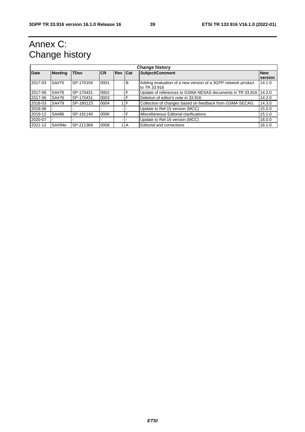# Annex C: Change history

| <b>Change history</b> |                |                  |            |            |       |                                                              |            |
|-----------------------|----------------|------------------|------------|------------|-------|--------------------------------------------------------------|------------|
| <b>Date</b>           | <b>Meeting</b> | <b>TDoc</b>      | <b>ICR</b> | <b>Rev</b> | Cat   | Subject/Comment                                              | <b>New</b> |
|                       |                |                  |            |            |       |                                                              | version    |
| 2017-03               | SA#75          | SP-170104        | 0001       |            | $-IB$ | Adding evaluation of a new version of a 3GPP network product | 14.1.0     |
|                       |                |                  |            |            |       | to TR 33.916                                                 |            |
| 2017-06               | SA#76          | <b>SP-170431</b> | 0002       |            |       | Update of references to GSMA NESAS documents in TR 33.916    | 14.2.0     |
| 2017-06               | SA#76          | SP-170431        | 0003       |            |       | Deletion of editor's note in 33.916                          | 14.2.0     |
| 2018-03               | SA#79          | SP-180123        | 0004       |            | $1$ F | Collection of changes based on feedback from GSMA SECAG      | 14.3.0     |
| 2018-06               |                |                  |            |            |       | Update to Rel-15 version (MCC)                               | 15.0.0     |
| 2019-12               | SA#86          | SP-191140        | 0006       |            |       | Miscellaneous Editorial clarifications                       | 15.1.0     |
| 2020-07               |                |                  |            |            |       | Update to Rel-16 version (MCC)                               | 16.0.0     |
| 2021-12               | SA#94e         | SP-211369        | 0008       |            | 1 I A | Editorial and corrections                                    | 16.1.0     |